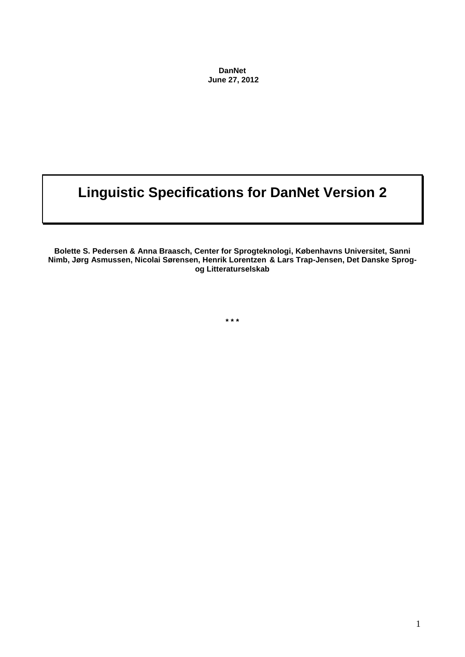**DanNet June 27, 2012**

# **Linguistic Specifications for DanNet Version 2**

**Bolette S. Pedersen & Anna Braasch, Center for Sprogteknologi, Københavns Universitet, Sanni Nimb, Jørg Asmussen, Nicolai Sørensen, Henrik Lorentzen & Lars Trap-Jensen, Det Danske Sprogog Litteraturselskab**

**\* \* \***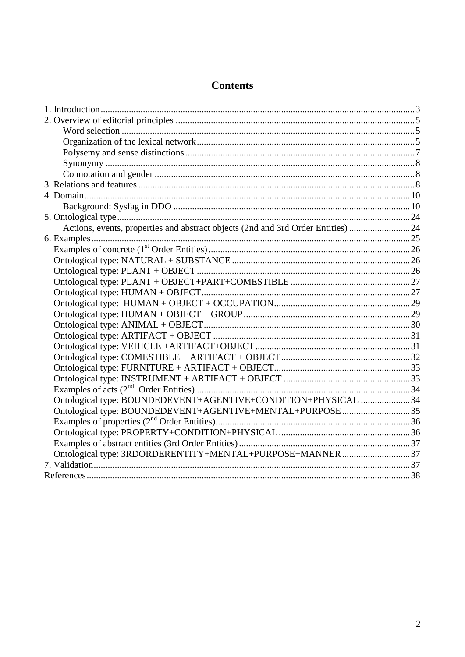# **Contents**

| Actions, events, properties and abstract objects (2nd and 3rd Order Entities) 24 |  |
|----------------------------------------------------------------------------------|--|
|                                                                                  |  |
|                                                                                  |  |
|                                                                                  |  |
|                                                                                  |  |
|                                                                                  |  |
|                                                                                  |  |
|                                                                                  |  |
|                                                                                  |  |
|                                                                                  |  |
|                                                                                  |  |
|                                                                                  |  |
|                                                                                  |  |
|                                                                                  |  |
|                                                                                  |  |
|                                                                                  |  |
| Ontological type: BOUNDEDEVENT+AGENTIVE+CONDITION+PHYSICAL 34                    |  |
| Ontological type: BOUNDEDEVENT+AGENTIVE+MENTAL+PURPOSE35                         |  |
|                                                                                  |  |
|                                                                                  |  |
|                                                                                  |  |
| Ontological type: 3RDORDERENTITY+MENTAL+PURPOSE+MANNER37                         |  |
|                                                                                  |  |
|                                                                                  |  |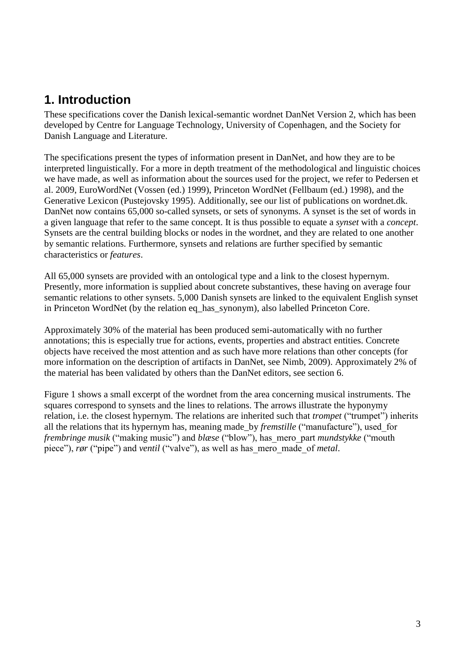# <span id="page-2-0"></span>**1. Introduction**

These specifications cover the Danish lexical-semantic wordnet DanNet Version 2, which has been developed by Centre for Language Technology, University of Copenhagen, and the Society for Danish Language and Literature.

The specifications present the types of information present in DanNet, and how they are to be interpreted linguistically. For a more in depth treatment of the methodological and linguistic choices we have made, as well as information about the sources used for the project, we refer to Pedersen et al. 2009, EuroWordNet (Vossen (ed.) 1999), Princeton WordNet (Fellbaum (ed.) 1998), and the Generative Lexicon (Pustejovsky 1995). Additionally, see our list of publications on wordnet.dk. DanNet now contains 65,000 so-called synsets, or sets of synonyms. A synset is the set of words in a given language that refer to the same concept. It is thus possible to equate a *synset* with a *concept*. Synsets are the central building blocks or nodes in the wordnet, and they are related to one another by semantic relations. Furthermore, synsets and relations are further specified by semantic characteristics or *features*.

All 65,000 synsets are provided with an ontological type and a link to the closest hypernym. Presently, more information is supplied about concrete substantives, these having on average four semantic relations to other synsets. 5,000 Danish synsets are linked to the equivalent English synset in Princeton WordNet (by the relation eq\_has\_synonym), also labelled Princeton Core.

Approximately 30% of the material has been produced semi-automatically with no further annotations; this is especially true for actions, events, properties and abstract entities. Concrete objects have received the most attention and as such have more relations than other concepts (for more information on the description of artifacts in DanNet, see Nimb, 2009). Approximately 2% of the material has been validated by others than the DanNet editors, see section 6.

Figure 1 shows a small excerpt of the wordnet from the area concerning musical instruments. The squares correspond to synsets and the lines to relations. The arrows illustrate the hyponymy relation, i.e. the closest hypernym. The relations are inherited such that *trompet* ("trumpet") inherits all the relations that its hypernym has, meaning made\_by *fremstille* ("manufacture"), used\_for *frembringe musik* ("making music") and *blæse* ("blow"), has\_mero\_part *mundstykke* ("mouth piece"), *rør* ("pipe") and *ventil* ("valve"), as well as has\_mero\_made\_of *metal*.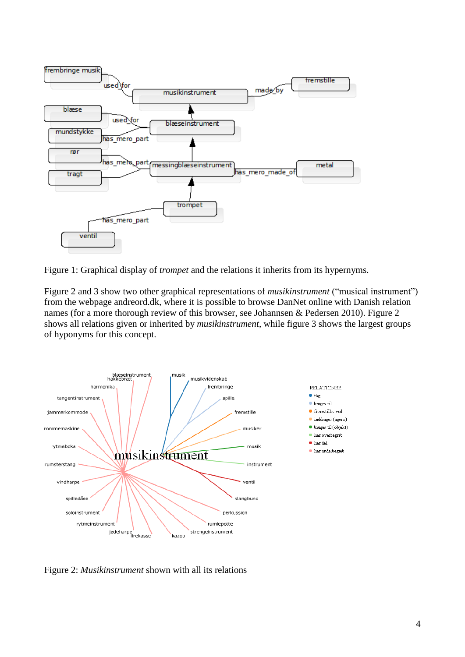

Figure 1: Graphical display of *trompet* and the relations it inherits from its hypernyms.

Figure 2 and 3 show two other graphical representations of *musikinstrument* ("musical instrument") from the webpage andreord.dk, where it is possible to browse DanNet online with Danish relation names (for a more thorough review of this browser, see Johannsen & Pedersen 2010). Figure 2 shows all relations given or inherited by *musikinstrument*, while figure 3 shows the largest groups of hyponyms for this concept.



Figure 2: *Musikinstrument* shown with all its relations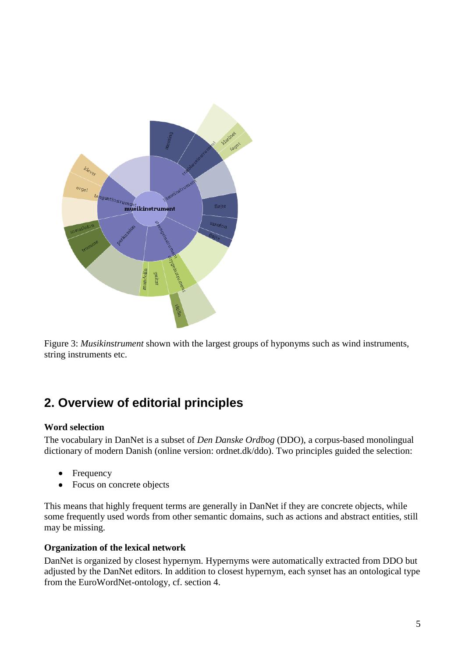

<span id="page-4-0"></span>Figure 3: *Musikinstrument* shown with the largest groups of hyponyms such as wind instruments, string instruments etc.

# **2. Overview of editorial principles**

#### <span id="page-4-1"></span>**Word selection**

The vocabulary in DanNet is a subset of *Den Danske Ordbog* (DDO), a corpus-based monolingual dictionary of modern Danish (online version: ordnet.dk/ddo). Two principles guided the selection:

- Frequency  $\bullet$
- Focus on concrete objects  $\bullet$

This means that highly frequent terms are generally in DanNet if they are concrete objects, while some frequently used words from other semantic domains, such as actions and abstract entities, still may be missing.

#### <span id="page-4-2"></span>**Organization of the lexical network**

DanNet is organized by closest hypernym. Hypernyms were automatically extracted from DDO but adjusted by the DanNet editors. In addition to closest hypernym, each synset has an ontological type from the EuroWordNet-ontology, cf. section 4.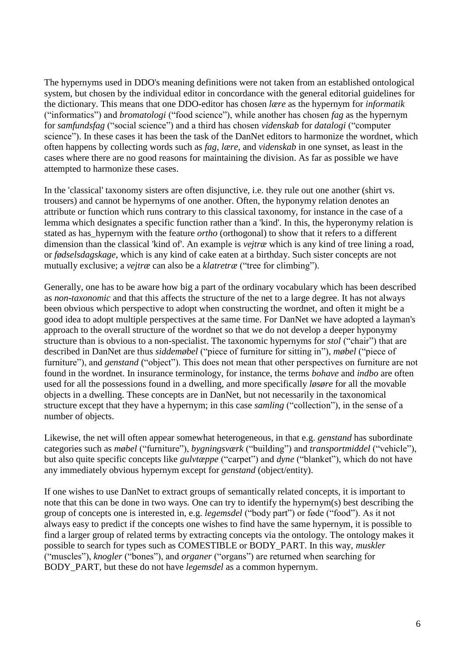The hypernyms used in DDO's meaning definitions were not taken from an established ontological system, but chosen by the individual editor in concordance with the general editorial guidelines for the dictionary. This means that one DDO-editor has chosen *lære* as the hypernym for *informatik*  ("informatics") and *bromatologi* ("food science"), while another has chosen *fag* as the hypernym for *samfundsfag* ("social science") and a third has chosen *videnskab* for *datalogi* ("computer science"). In these cases it has been the task of the DanNet editors to harmonize the wordnet, which often happens by collecting words such as *fag*, *lære*, and *videnskab* in one synset, as least in the cases where there are no good reasons for maintaining the division. As far as possible we have attempted to harmonize these cases.

In the 'classical' taxonomy sisters are often disjunctive, i.e. they rule out one another (shirt vs. trousers) and cannot be hypernyms of one another. Often, the hyponymy relation denotes an attribute or function which runs contrary to this classical taxonomy, for instance in the case of a lemma which designates a specific function rather than a 'kind'. In this, the hyperonymy relation is stated as has\_hypernym with the feature *ortho* (orthogonal) to show that it refers to a different dimension than the classical 'kind of'. An example is *vejtræ* which is any kind of tree lining a road, or *fødselsdagskage*, which is any kind of cake eaten at a birthday. Such sister concepts are not mutually exclusive; a *vejtræ* can also be a *klatretræ* ("tree for climbing").

Generally, one has to be aware how big a part of the ordinary vocabulary which has been described as *non-taxonomic* and that this affects the structure of the net to a large degree. It has not always been obvious which perspective to adopt when constructing the wordnet, and often it might be a good idea to adopt multiple perspectives at the same time. For DanNet we have adopted a layman's approach to the overall structure of the wordnet so that we do not develop a deeper hyponymy structure than is obvious to a non-specialist. The taxonomic hypernyms for *stol* ("chair") that are described in DanNet are thus *siddemøbel* ("piece of furniture for sitting in"), *møbel* ("piece of furniture"), and *genstand* ("object"). This does not mean that other perspectives on furniture are not found in the wordnet. In insurance terminology, for instance, the terms *bohave* and *indbo* are often used for all the possessions found in a dwelling, and more specifically *løsøre* for all the movable objects in a dwelling. These concepts are in DanNet, but not necessarily in the taxonomical structure except that they have a hypernym; in this case *samling* ("collection"), in the sense of a number of objects.

Likewise, the net will often appear somewhat heterogeneous, in that e.g. *genstand* has subordinate categories such as *møbel* ("furniture"), *bygningsværk* ("building") and *transportmiddel* ("vehicle"), but also quite specific concepts like *gulvtæppe* ("carpet") and *dyne* ("blanket"), which do not have any immediately obvious hypernym except for *genstand* (object/entity).

If one wishes to use DanNet to extract groups of semantically related concepts, it is important to note that this can be done in two ways. One can try to identify the hypernym(s) best describing the group of concepts one is interested in, e.g. *legemsdel* ("body part") or føde ("food"). As it not always easy to predict if the concepts one wishes to find have the same hypernym, it is possible to find a larger group of related terms by extracting concepts via the ontology. The ontology makes it possible to search for types such as COMESTIBLE or BODY\_PART. In this way, *muskler* ("muscles"), *knogler* ("bones"), and *organer* ("organs") are returned when searching for BODY\_PART, but these do not have *legemsdel* as a common hypernym.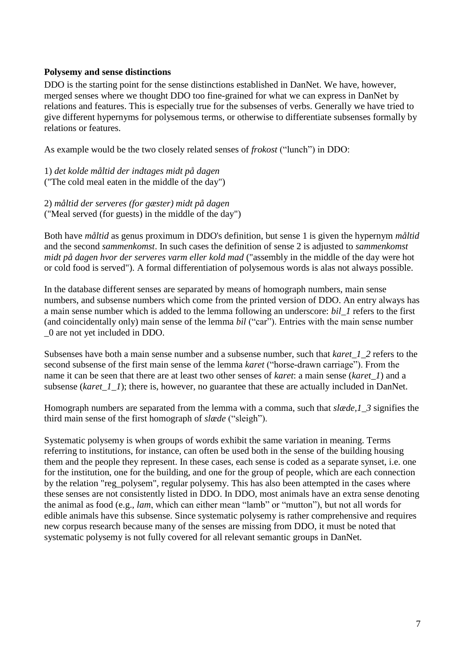#### <span id="page-6-0"></span>**Polysemy and sense distinctions**

DDO is the starting point for the sense distinctions established in DanNet. We have, however, merged senses where we thought DDO too fine-grained for what we can express in DanNet by relations and features. This is especially true for the subsenses of verbs. Generally we have tried to give different hypernyms for polysemous terms, or otherwise to differentiate subsenses formally by relations or features.

As example would be the two closely related senses of *frokost* ("lunch") in DDO:

1) *det kolde måltid der indtages midt på dagen* ("The cold meal eaten in the middle of the day")

2) *måltid der serveres (for gæster) midt på dagen* ("Meal served (for guests) in the middle of the day")

Both have *måltid* as genus proximum in DDO's definition, but sense 1 is given the hypernym *måltid* and the second *sammenkomst*. In such cases the definition of sense 2 is adjusted to *sammenkomst midt på dagen hvor der serveres varm eller kold mad* ("assembly in the middle of the day were hot or cold food is served"). A formal differentiation of polysemous words is alas not always possible.

In the database different senses are separated by means of homograph numbers, main sense numbers, and subsense numbers which come from the printed version of DDO. An entry always has a main sense number which is added to the lemma following an underscore: *bil\_1* refers to the first (and coincidentally only) main sense of the lemma *bil* ("car"). Entries with the main sense number \_0 are not yet included in DDO.

Subsenses have both a main sense number and a subsense number, such that *karet\_1\_2* refers to the second subsense of the first main sense of the lemma *karet* ("horse-drawn carriage"). From the name it can be seen that there are at least two other senses of *karet*: a main sense (*karet\_1*) and a subsense (*karet\_1\_1*); there is, however, no guarantee that these are actually included in DanNet.

Homograph numbers are separated from the lemma with a comma, such that *slæde,1\_3* signifies the third main sense of the first homograph of *slæde* ("sleigh").

Systematic polysemy is when groups of words exhibit the same variation in meaning. Terms referring to institutions, for instance, can often be used both in the sense of the building housing them and the people they represent. In these cases, each sense is coded as a separate synset, i.e. one for the institution, one for the building, and one for the group of people, which are each connection by the relation "reg\_polysem", regular polysemy. This has also been attempted in the cases where these senses are not consistently listed in DDO. In DDO, most animals have an extra sense denoting the animal as food (e.g., *lam*, which can either mean "lamb" or "mutton"), but not all words for edible animals have this subsense. Since systematic polysemy is rather comprehensive and requires new corpus research because many of the senses are missing from DDO, it must be noted that systematic polysemy is not fully covered for all relevant semantic groups in DanNet.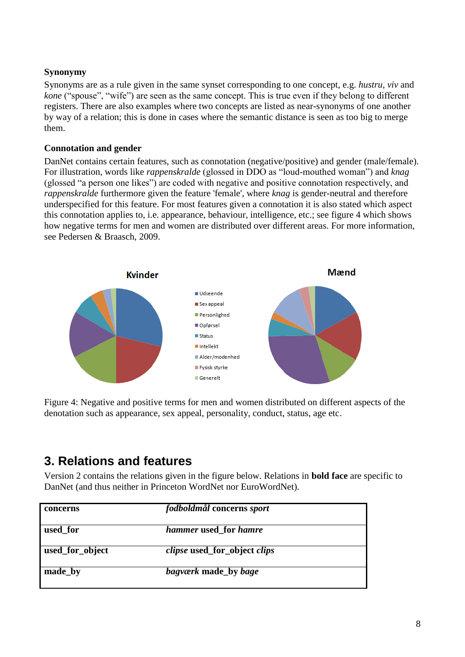### <span id="page-7-0"></span>**Synonymy**

Synonyms are as a rule given in the same synset corresponding to one concept, e.g. *hustru*, *viv* and *kone* ("spouse", "wife") are seen as the same concept. This is true even if they belong to different registers. There are also examples where two concepts are listed as near-synonyms of one another by way of a relation; this is done in cases where the semantic distance is seen as too big to merge them.

#### <span id="page-7-1"></span>**Connotation and gender**

DanNet contains certain features, such as connotation (negative/positive) and gender (male/female). For illustration, words like *rappenskralde* (glossed in DDO as "loud-mouthed woman") and *knag* (glossed "a person one likes") are coded with negative and positive connotation respectively, and *rappenskralde* furthermore given the feature 'female', where *knag* is gender-neutral and therefore underspecified for this feature. For most features given a connotation it is also stated which aspect this connotation applies to, i.e. appearance, behaviour, intelligence, etc.; see figure 4 which shows how negative terms for men and women are distributed over different areas. For more information, see Pedersen & Braasch, 2009.



<span id="page-7-2"></span>Figure 4: Negative and positive terms for men and women distributed on different aspects of the denotation such as appearance, sex appeal, personality, conduct, status, age etc.

# **3. Relations and features**

Version 2 contains the relations given in the figure below. Relations in **bold face** are specific to DanNet (and thus neither in Princeton WordNet nor EuroWordNet).

| concerns        | fodboldmål concerns sport                  |  |
|-----------------|--------------------------------------------|--|
| used for        | <i>hammer</i> used for <i>hamre</i>        |  |
| used_for_object | <i>clipse</i> used_for_object <i>clips</i> |  |
| made_by         | <i>bagværk</i> made by <i>bage</i>         |  |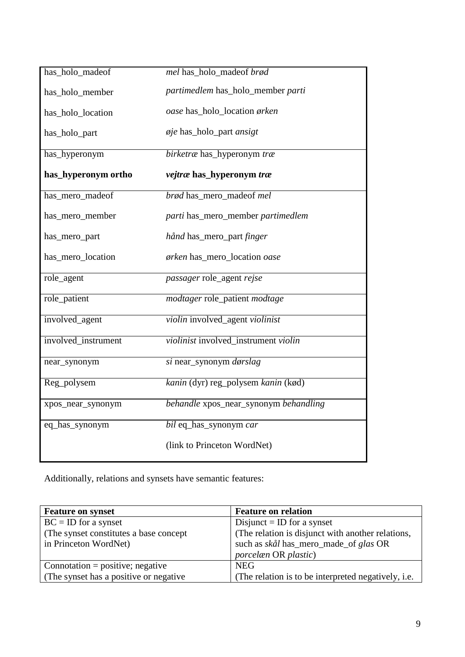| has_holo_madeof     | mel has_holo_madeof brød              |
|---------------------|---------------------------------------|
| has_holo_member     | partimedlem has_holo_member parti     |
| has_holo_location   | oase has_holo_location ørken          |
| has_holo_part       | øje has_holo_part ansigt              |
| has_hyperonym       | birketræ has_hyperonym træ            |
| has_hyperonym ortho | vejtræ has_hyperonym træ              |
| has_mero_madeof     | brød has_mero_madeof mel              |
| has_mero_member     | parti has_mero_member partimedlem     |
| has_mero_part       | hånd has_mero_part finger             |
| has_mero_location   | ørken has_mero_location oase          |
| $role\_agent$       | passager role_agent rejse             |
| role_patient        | modtager role_patient modtage         |
| involved_agent      | violin involved_agent violinist       |
| involved_instrument | violinist involved_instrument violin  |
| near_synonym        | si near_synonym dørslag               |
| Reg_polysem         | kanin (dyr) reg_polysem kanin (kød)   |
| xpos_near_synonym   | behandle xpos_near_synonym behandling |
| eq_has_synonym      | bil eq_has_synonym car                |
|                     | (link to Princeton WordNet)           |

Additionally, relations and synsets have semantic features:

| <b>Feature on synset</b>                | <b>Feature on relation</b>                          |
|-----------------------------------------|-----------------------------------------------------|
| $BC = ID$ for a synset                  | Disjunct = ID for a synset                          |
| (The synset constitutes a base concept) | (The relation is disjunct with another relations,   |
| in Princeton WordNet)                   | such as <i>skål</i> has_mero_made_of <i>glas</i> OR |
|                                         | <i>porcelæn</i> OR <i>plastic</i> )                 |
| Connotation = positive; negative        | <b>NEG</b>                                          |
| (The synset has a positive or negative) | (The relation is to be interpreted negatively, i.e. |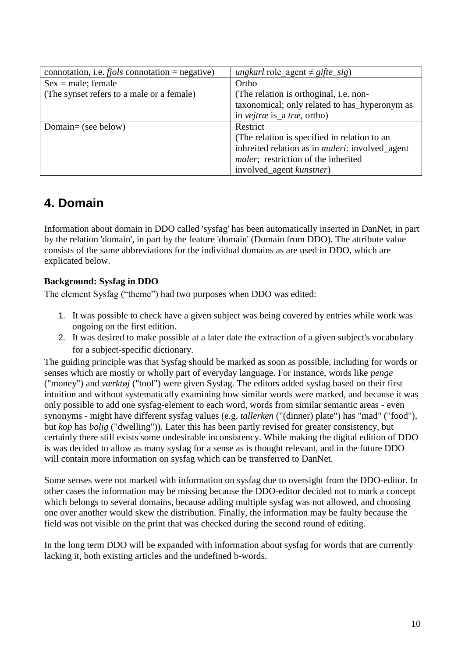| connotation, i.e. $fjols$ connotation = negative) | <i>ungkarl</i> role agent $\neq$ <i>gifte_sig</i> )     |
|---------------------------------------------------|---------------------------------------------------------|
| $Sex = male; female$                              | Ortho                                                   |
| (The synset refers to a male or a female)         | (The relation is orthoginal, i.e. non-                  |
|                                                   | taxonomical; only related to has_hyperonym as           |
|                                                   | in <i>vejtræ</i> is_a <i>træ</i> , ortho)               |
| Domain= (see below)                               | Restrict                                                |
|                                                   | (The relation is specified in relation to an            |
|                                                   | inhreited relation as in <i>maleri</i> : involved_agent |
|                                                   | <i>maler</i> ; restriction of the inherited             |
|                                                   | involved_agent kunstner)                                |

# <span id="page-9-0"></span>**4. Domain**

Information about domain in DDO called 'sysfag' has been automatically inserted in DanNet, in part by the relation 'domain', in part by the feature 'domain' (Domain from DDO). The attribute value consists of the same abbreviations for the individual domains as are used in DDO, which are explicated below.

## <span id="page-9-1"></span>**Background: Sysfag in DDO**

The element Sysfag ("theme") had two purposes when DDO was edited:

- 1. It was possible to check have a given subject was being covered by entries while work was ongoing on the first edition.
- 2. It was desired to make possible at a later date the extraction of a given subject's vocabulary for a subject-specific dictionary.

The guiding principle was that Sysfag should be marked as soon as possible, including for words or senses which are mostly or wholly part of everyday language. For instance, words like *penge* ("money") and *værktøj* ("tool") were given Sysfag. The editors added sysfag based on their first intuition and without systematically examining how similar words were marked, and because it was only possible to add one sysfag-element to each word, words from similar semantic areas - even synonyms - might have different sysfag values (e.g. *tallerken* ("(dinner) plate") has "mad" ("food"), but *kop* has *bolig* ("dwelling")). Later this has been partly revised for greater consistency, but certainly there still exists some undesirable inconsistency. While making the digital edition of DDO is was decided to allow as many sysfag for a sense as is thought relevant, and in the future DDO will contain more information on sysfag which can be transferred to DanNet.

Some senses were not marked with information on sysfag due to oversight from the DDO-editor. In other cases the information may be missing because the DDO-editor decided not to mark a concept which belongs to several domains, because adding multiple sysfag was not allowed, and choosing one over another would skew the distribution. Finally, the information may be faulty because the field was not visible on the print that was checked during the second round of editing.

In the long term DDO will be expanded with information about sysfag for words that are currently lacking it, both existing articles and the undefined b-words.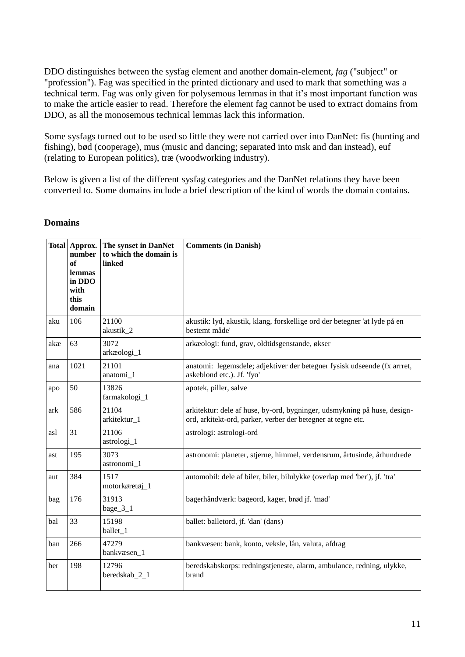DDO distinguishes between the sysfag element and another domain-element, *fag* ("subject" or "profession"). Fag was specified in the printed dictionary and used to mark that something was a technical term. Fag was only given for polysemous lemmas in that it's most important function was to make the article easier to read. Therefore the element fag cannot be used to extract domains from DDO, as all the monosemous technical lemmas lack this information.

Some sysfags turned out to be used so little they were not carried over into DanNet: fis (hunting and fishing), bød (cooperage), mus (music and dancing; separated into msk and dan instead), euf (relating to European politics), træ (woodworking industry).

Below is given a list of the different sysfag categories and the DanNet relations they have been converted to. Some domains include a brief description of the kind of words the domain contains.

|     | Total Approx.<br>number<br>of<br>lemmas<br>in DDO<br>with<br>this<br>domain | The synset in DanNet<br>to which the domain is<br>linked | <b>Comments (in Danish)</b>                                                                                                              |
|-----|-----------------------------------------------------------------------------|----------------------------------------------------------|------------------------------------------------------------------------------------------------------------------------------------------|
| aku | 106                                                                         | 21100<br>akustik_2                                       | akustik: lyd, akustik, klang, forskellige ord der betegner 'at lyde på en<br>bestemt måde'                                               |
| akæ | 63                                                                          | 3072<br>arkæologi_1                                      | arkæologi: fund, grav, oldtidsgenstande, økser                                                                                           |
| ana | 1021                                                                        | 21101<br>anatomi_1                                       | anatomi: legemsdele; adjektiver der betegner fysisk udseende (fx arrret,<br>askeblond etc.). Jf. 'fyo'                                   |
| apo | 50                                                                          | 13826<br>farmakologi_1                                   | apotek, piller, salve                                                                                                                    |
| ark | 586                                                                         | 21104<br>arkitektur_1                                    | arkitektur: dele af huse, by-ord, bygninger, udsmykning på huse, design-<br>ord, arkitekt-ord, parker, verber der betegner at tegne etc. |
| asl | 31                                                                          | 21106<br>astrologi_1                                     | astrologi: astrologi-ord                                                                                                                 |
| ast | 195                                                                         | 3073<br>astronomi_1                                      | astronomi: planeter, stjerne, himmel, verdensrum, årtusinde, århundrede                                                                  |
| aut | 384                                                                         | 1517<br>motorkøretøj_1                                   | automobil: dele af biler, biler, bilulykke (overlap med 'ber'), jf. 'tra'                                                                |
| bag | 176                                                                         | 31913<br>bage_3_1                                        | bagerhåndværk: bageord, kager, brød jf. 'mad'                                                                                            |
| bal | 33                                                                          | 15198<br>ballet_1                                        | ballet: balletord, jf. 'dan' (dans)                                                                                                      |
| ban | 266                                                                         | 47279<br>bankvæsen_1                                     | bankvæsen: bank, konto, veksle, lån, valuta, afdrag                                                                                      |
| ber | 198                                                                         | 12796<br>beredskab_2_1                                   | beredskabskorps: redningstjeneste, alarm, ambulance, redning, ulykke,<br>brand                                                           |

### **Domains**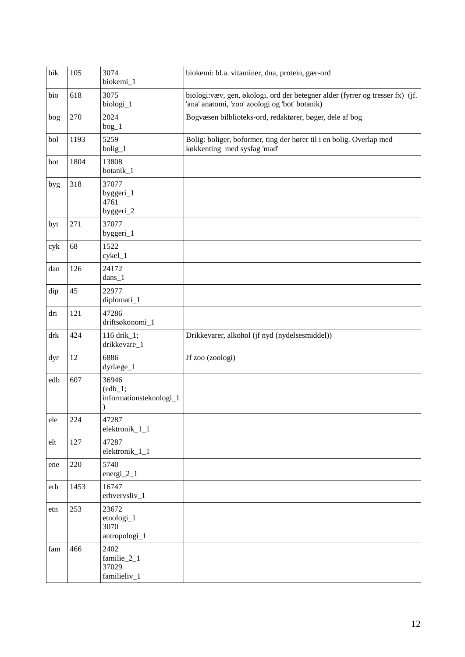| bik                         | 105  | 3074<br>biokemi_1                             | biokemi: bl.a. vitaminer, dna, protein, gær-ord                                                                                  |
|-----------------------------|------|-----------------------------------------------|----------------------------------------------------------------------------------------------------------------------------------|
| bio                         | 618  | 3075<br>biologi_1                             | biologi: væv, gen, økologi, ord der betegner alder (fyrrer og tresser fx) (jf.<br>'ana' anatomi, 'zoo' zoologi og 'bot' botanik) |
| bog                         | 270  | 2024<br>$bog_1$                               | Bogvæsen bilblioteks-ord, redaktører, bøger, dele af bog                                                                         |
| bol                         | 1193 | 5259<br>bolig_1                               | Bolig: boliger, boformer, ting der hører til i en bolig. Overlap med<br>køkkenting med sysfag 'mad'                              |
| bot                         | 1804 | 13808<br>botanik_1                            |                                                                                                                                  |
| byg                         | 318  | 37077<br>byggeri_1<br>4761<br>byggeri_2       |                                                                                                                                  |
| byt                         | 271  | 37077<br>byggeri_1                            |                                                                                                                                  |
| cyk                         | 68   | 1522<br>cykel_1                               |                                                                                                                                  |
| dan                         | 126  | 24172<br>$dans_1$                             |                                                                                                                                  |
| dip                         | 45   | 22977<br>diplomati_1                          |                                                                                                                                  |
| dri                         | 121  | 47286<br>driftsøkonomi_1                      |                                                                                                                                  |
| drk                         | 424  | 116 drik_1;<br>drikkevare_1                   | Drikkevarer, alkohol (jf nyd (nydelsesmiddel))                                                                                   |
| dyr                         | 12   | 6886<br>dyrlæge_1                             | Jf zoo (zoologi)                                                                                                                 |
| edb                         | 607  | 36946<br>$(edb_1;$<br>informationsteknologi_1 |                                                                                                                                  |
| ele                         | 224  | 47287<br>elektronik_1_1                       |                                                                                                                                  |
| elt                         | 127  | 47287<br>elektronik_1_1                       |                                                                                                                                  |
| ene                         | 220  | 5740<br>energi $2_1$                          |                                                                                                                                  |
| erh                         | 1453 | 16747<br>erhvervsliv_1                        |                                                                                                                                  |
| etn                         | 253  | 23672<br>etnologi_1<br>3070<br>antropologi_1  |                                                                                                                                  |
| $\ensuremath{\mathit{fam}}$ | 466  | 2402<br>familie_2_1<br>37029<br>familieliv_1  |                                                                                                                                  |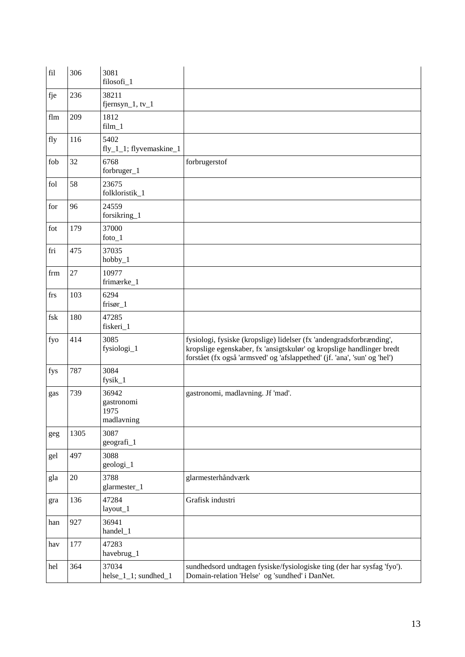| $\operatorname{fil}$ | 306  | 3081<br>filosofi_1                        |                                                                                                                                                                                                                            |
|----------------------|------|-------------------------------------------|----------------------------------------------------------------------------------------------------------------------------------------------------------------------------------------------------------------------------|
| fje                  | 236  | 38211<br>fjernsyn $1$ , tv $1$            |                                                                                                                                                                                                                            |
| flm                  | 209  | 1812<br>$film_1$                          |                                                                                                                                                                                                                            |
| fly                  | 116  | 5402<br>fly_1_1; flyvemaskine_1           |                                                                                                                                                                                                                            |
| fob                  | 32   | 6768<br>forbruger_1                       | forbrugerstof                                                                                                                                                                                                              |
| fol                  | 58   | 23675<br>folkloristik_1                   |                                                                                                                                                                                                                            |
| for                  | 96   | 24559<br>forsikring_1                     |                                                                                                                                                                                                                            |
| fot                  | 179  | 37000<br>$footo-1$                        |                                                                                                                                                                                                                            |
| fri                  | 475  | 37035<br>$hobby_1$                        |                                                                                                                                                                                                                            |
| frm                  | 27   | 10977<br>frimærke_1                       |                                                                                                                                                                                                                            |
| frs                  | 103  | 6294<br>$frisør_1$                        |                                                                                                                                                                                                                            |
| fsk                  | 180  | 47285<br>fiskeri_1                        |                                                                                                                                                                                                                            |
| fyo                  | 414  | 3085<br>fysiologi_1                       | fysiologi, fysiske (kropslige) lidelser (fx 'andengradsforbrænding',<br>kropslige egenskaber, fx 'ansigtskulør' og kropslige handlinger bredt<br>forstået (fx også 'armsved' og 'afslappethed' (jf. 'ana', 'sun' og 'hel') |
| fys                  | 787  | 3084<br>fysik_1                           |                                                                                                                                                                                                                            |
| gas                  | 739  | 36942<br>gastronomi<br>1975<br>madlavning | gastronomi, madlavning. Jf 'mad'.                                                                                                                                                                                          |
| geg                  | 1305 | 3087<br>geografi_1                        |                                                                                                                                                                                                                            |
| gel                  | 497  | 3088<br>geologi_1                         |                                                                                                                                                                                                                            |
| gla                  | 20   | 3788<br>glarmester_1                      | glarmesterhåndværk                                                                                                                                                                                                         |
| gra                  | 136  | 47284<br>layout_1                         | Grafisk industri                                                                                                                                                                                                           |
| han                  | 927  | 36941<br>handel_1                         |                                                                                                                                                                                                                            |
| hav                  | 177  | 47283<br>havebrug_1                       |                                                                                                                                                                                                                            |
| hel                  | 364  | 37034<br>helse_1_1; sundhed_1             | sundhedsord undtagen fysiske/fysiologiske ting (der har sysfag 'fyo').<br>Domain-relation 'Helse' og 'sundhed' i DanNet.                                                                                                   |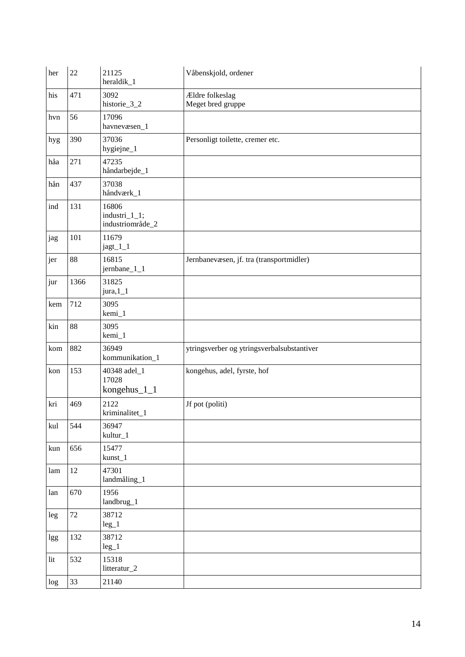| her    | 22   | 21125<br>heraldik_1                        | Våbenskjold, ordener                       |
|--------|------|--------------------------------------------|--------------------------------------------|
| his    | 471  | 3092<br>historie_3_2                       | Ældre folkeslag<br>Meget bred gruppe       |
| hvn    | 56   | 17096<br>havnevæsen_1                      |                                            |
| hyg    | 390  | 37036<br>hygiejne_1                        | Personligt toilette, cremer etc.           |
| håa    | 271  | 47235<br>håndarbejde_1                     |                                            |
| $h\aa$ | 437  | 37038<br>håndværk_1                        |                                            |
| ind    | 131  | 16806<br>industri_1_1;<br>industriområde_2 |                                            |
| jag    | 101  | 11679<br>jagt_1_1                          |                                            |
| jer    | 88   | 16815<br>jernbane_1_1                      | Jernbanevæsen, jf. tra (transportmidler)   |
| jur    | 1366 | 31825<br>$jura, 1_1$                       |                                            |
| kem    | 712  | 3095<br>kemi_1                             |                                            |
| kin    | 88   | 3095<br>kemi_1                             |                                            |
| kom    | 882  | 36949<br>kommunikation_1                   | ytringsverber og ytringsverbalsubstantiver |
| kon    | 153  | 40348 adel_1<br>17028<br>kongehus_1_1      | kongehus, adel, fyrste, hof                |
| kri    | 469  | 2122<br>kriminalitet_1                     | Jf pot (politi)                            |
| kul    | 544  | 36947<br>kultur_1                          |                                            |
| kun    | 656  | 15477<br>kunst_1                           |                                            |
| lam    | 12   | 47301<br>landmåling_1                      |                                            |
| lan    | 670  | 1956<br>landbrug_1                         |                                            |
| leg    | 72   | 38712<br>$leg_1$                           |                                            |
| lgg    | 132  | 38712<br>$leg_1$                           |                                            |
| lit    | 532  | 15318<br>litteratur_2                      |                                            |
| log    | 33   | 21140                                      |                                            |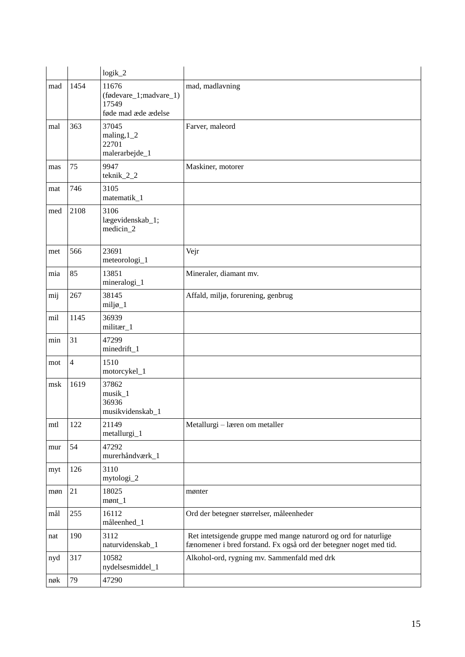|            |                | $logik_2$                                                       |                                                                                                                                       |
|------------|----------------|-----------------------------------------------------------------|---------------------------------------------------------------------------------------------------------------------------------------|
| $\rm{mad}$ | 1454           | 11676<br>(fødevare_1;madvare_1)<br>17549<br>føde mad æde ædelse | mad, madlavning                                                                                                                       |
| mal        | 363            | 37045<br>maling, $1_2$<br>22701<br>malerarbejde_1               | Farver, maleord                                                                                                                       |
| mas        | 75             | 9947<br>teknik_2_2                                              | Maskiner, motorer                                                                                                                     |
| mat        | 746            | 3105<br>matematik_1                                             |                                                                                                                                       |
| med        | 2108           | 3106<br>lægevidenskab_1;<br>medicin_2                           |                                                                                                                                       |
| met        | 566            | 23691<br>meteorologi_1                                          | Vejr                                                                                                                                  |
| mia        | 85             | 13851<br>mineralogi_1                                           | Mineraler, diamant mv.                                                                                                                |
| mij        | 267            | 38145<br>miljø_1                                                | Affald, miljø, forurening, genbrug                                                                                                    |
| mil        | 1145           | 36939<br>militær_1                                              |                                                                                                                                       |
| min        | 31             | 47299<br>minedrift_1                                            |                                                                                                                                       |
| mot        | $\overline{4}$ | 1510<br>motorcykel_1                                            |                                                                                                                                       |
| msk        | 1619           | 37862<br>musik_1<br>36936<br>musikvidenskab_1                   |                                                                                                                                       |
| mtl        | 122            | 21149<br>metallurgi_1                                           | Metallurgi - læren om metaller                                                                                                        |
| mur        | 54             | 47292<br>murerhåndværk_1                                        |                                                                                                                                       |
| myt        | 126            | 3110<br>mytologi_2                                              |                                                                                                                                       |
| møn        | 21             | 18025<br>$m\phi$ nt_1                                           | mønter                                                                                                                                |
| mål        | 255            | 16112<br>måleenhed_1                                            | Ord der betegner størrelser, måleenheder                                                                                              |
| nat        | 190            | 3112<br>naturvidenskab_1                                        | Ret intetsigende gruppe med mange naturord og ord for naturlige<br>fænomener i bred forstand. Fx også ord der betegner noget med tid. |
| nyd        | 317            | 10582<br>nydelsesmiddel_1                                       | Alkohol-ord, rygning mv. Sammenfald med drk                                                                                           |
| nøk        | 79             | 47290                                                           |                                                                                                                                       |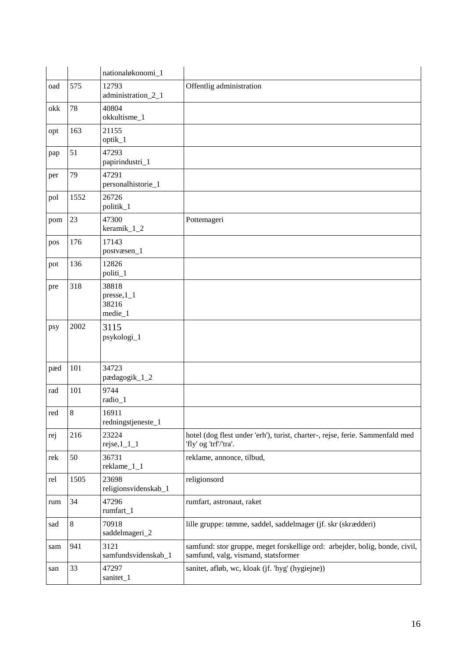|     |         | nationaløkonomi_1                            |                                                                                                                    |
|-----|---------|----------------------------------------------|--------------------------------------------------------------------------------------------------------------------|
| oad | 575     | 12793<br>administration_2_1                  | Offentlig administration                                                                                           |
| okk | 78      | 40804<br>okkultisme_1                        |                                                                                                                    |
| opt | 163     | 21155<br>optik_1                             |                                                                                                                    |
| pap | 51      | 47293<br>papirindustri_1                     |                                                                                                                    |
| per | 79      | 47291<br>personalhistorie_1                  |                                                                                                                    |
| pol | 1552    | 26726<br>politik_1                           |                                                                                                                    |
| pom | 23      | 47300<br>keramik_1_2                         | Pottemageri                                                                                                        |
| pos | 176     | 17143<br>postvæsen_1                         |                                                                                                                    |
| pot | 136     | 12826<br>politi_1                            |                                                                                                                    |
| pre | 318     | 38818<br>$pressure, 1_1$<br>38216<br>medie_1 |                                                                                                                    |
| psy | 2002    | 3115<br>psykologi_1                          |                                                                                                                    |
| pæd | 101     | 34723<br>pædagogik_1_2                       |                                                                                                                    |
| rad | 101     | 9744<br>radio_1                              |                                                                                                                    |
| red | $\,8\,$ | 16911<br>redningstjeneste_1                  |                                                                                                                    |
| rej | 216     | 23224<br>$rejse, 1_1_1_1$                    | hotel (dog flest under 'erh'), turist, charter-, rejse, ferie. Sammenfald med<br>'fly' og 'trf'/'tra'.             |
| rek | 50      | 36731<br>reklame_1_1                         | reklame, annonce, tilbud,                                                                                          |
| rel | 1505    | 23698<br>religionsvidenskab_1                | religionsord                                                                                                       |
| rum | 34      | 47296<br>rumfart_1                           | rumfart, astronaut, raket                                                                                          |
| sad | 8       | 70918<br>saddelmageri_2                      | lille gruppe: tømme, saddel, saddelmager (jf. skr (skrædderi)                                                      |
| sam | 941     | 3121<br>samfundsvidenskab_1                  | samfund: stor gruppe, meget forskellige ord: arbejder, bolig, bonde, civil,<br>samfund, valg, vismand, statsformer |
| san | 33      | 47297<br>sanitet_1                           | sanitet, afløb, wc, kloak (jf. 'hyg' (hygiejne))                                                                   |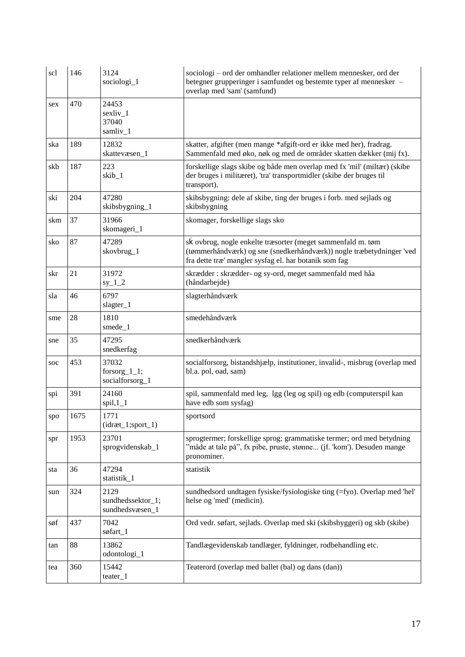| scl | 146  | 3124<br>sociologi_1                          | sociologi - ord der omhandler relationer mellem mennesker, ord der<br>betegner grupperinger i samfundet og bestemte typer af mennesker –<br>overlap med 'sam' (samfund)                      |
|-----|------|----------------------------------------------|----------------------------------------------------------------------------------------------------------------------------------------------------------------------------------------------|
| sex | 470  | 24453<br>sexliv_1<br>37040<br>samliv_1       |                                                                                                                                                                                              |
| ska | 189  | 12832<br>skattevæsen_1                       | skatter, afgifter (men mange *afgift-ord er ikke med her), fradrag.<br>Sammenfald med øko, nøk og med de områder skatten dækker (mij fx).                                                    |
| skb | 187  | 223<br>skib_1                                | forskellige slags skibe og både men overlap med fx 'mil' (miltær) (skibe<br>der bruges i militæret), 'tra' transportmidler (skibe der bruges til<br>transport).                              |
| ski | 204  | 47280<br>skibsbygning_1                      | skibsbygning: dele af skibe, ting der bruges i forb. med sejlads og<br>skibsbygning                                                                                                          |
| skm | 37   | 31966<br>skomageri_1                         | skomager, forskellige slags sko                                                                                                                                                              |
| sko | 87   | 47289<br>skovbrug_1                          | sk ovbrug, nogle enkelte træsorter (meget sammenfald m. tøm<br>(tømmerhåndværk) og sne (snedkerhåndværk)) nogle træbetydninger 'ved<br>fra dette træ' mangler sysfag el. har botanik som fag |
| skr | 21   | 31972<br>$sy_1_2$                            | skrædder : skrædder- og sy-ord, meget sammenfald med håa<br>(håndarbejde)                                                                                                                    |
| sla | 46   | 6797<br>slagter_1                            | slagterhåndværk                                                                                                                                                                              |
| sme | 28   | 1810<br>smede_1                              | smedehåndværk                                                                                                                                                                                |
| sne | 35   | 47295<br>snedkerfag                          | snedkerhåndværk                                                                                                                                                                              |
| soc | 453  | 37032<br>forsorg_1_1;<br>socialforsorg_1     | socialforsorg, bistandshjælp, institutioner, invalid-, misbrug (overlap med<br>bl.a. pol, oad, sam)                                                                                          |
| spi | 391  | 24160<br>$spil, 1_1$                         | spil, sammenfald med leg, 1gg (leg og spil) og edb (computerspil kan<br>have edb som sysfag)                                                                                                 |
| spo | 1675 | 1771<br>$(idræt_1; sport_1)$                 | sportsord                                                                                                                                                                                    |
| spr | 1953 | 23701<br>sprogvidenskab_1                    | sprogtermer; forskellige sprog; grammatiske termer; ord med betydning<br>"måde at tale på", fx pibe, pruste, stønne (jf. 'kom'). Desuden mange<br>pronominer.                                |
| sta | 36   | 47294<br>statistik_1                         | statistik                                                                                                                                                                                    |
| sun | 324  | 2129<br>sundhedssektor_1;<br>sundhedsvæsen_1 | sundhedsord undtagen fysiske/fysiologiske ting (=fyo). Overlap med 'hel'<br>helse og 'med' (medicin).                                                                                        |
| søf | 437  | 7042<br>søfart_1                             | Ord vedr. søfart, sejlads. Overlap med ski (skibsbyggeri) og skb (skibe)                                                                                                                     |
| tan | 88   | 13862<br>odontologi_1                        | Tandlægevidenskab tandlæger, fyldninger, rodbehandling etc.                                                                                                                                  |
| tea | 360  | 15442<br>teater_1                            | Teaterord (overlap med ballet (bal) og dans (dan))                                                                                                                                           |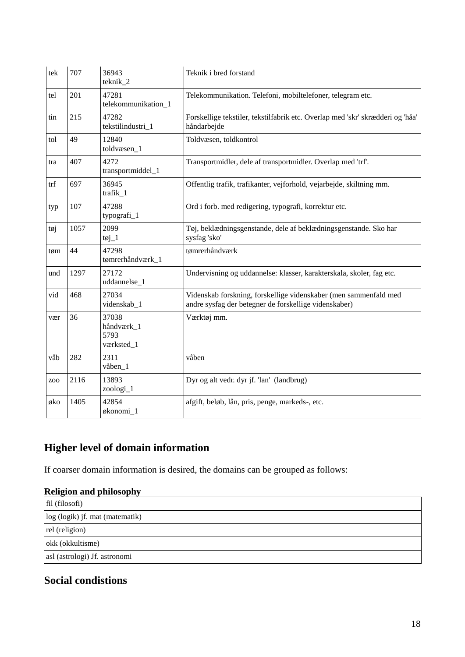| tek             | 707  | 36943<br>teknik_2                         | Teknik i bred forstand                                                                                                    |
|-----------------|------|-------------------------------------------|---------------------------------------------------------------------------------------------------------------------------|
| tel             | 201  | 47281<br>telekommunikation_1              | Telekommunikation. Telefoni, mobiltelefoner, telegram etc.                                                                |
| tin             | 215  | 47282<br>tekstilindustri_1                | Forskellige tekstiler, tekstilfabrik etc. Overlap med 'skr' skrædderi og 'håa'<br>håndarbejde                             |
| tol             | 49   | 12840<br>toldvæsen_1                      | Toldvæsen, toldkontrol                                                                                                    |
| tra             | 407  | 4272<br>transportmiddel_1                 | Transportmidler, dele af transportmidler. Overlap med 'trf'.                                                              |
| trf             | 697  | 36945<br>trafik_1                         | Offentlig trafik, trafikanter, vejforhold, vejarbejde, skiltning mm.                                                      |
| typ             | 107  | 47288<br>typografi_1                      | Ord i forb. med redigering, typografi, korrektur etc.                                                                     |
| tøj             | 1057 | 2099<br>$\text{toj}_1$                    | Tøj, beklædningsgenstande, dele af beklædningsgenstande. Sko har<br>sysfag 'sko'                                          |
| tøm             | 44   | 47298<br>tømrerhåndværk_1                 | tømrerhåndværk                                                                                                            |
| und             | 1297 | 27172<br>uddannelse_1                     | Undervisning og uddannelse: klasser, karakterskala, skoler, fag etc.                                                      |
| vid             | 468  | 27034<br>videnskab_1                      | Videnskab forskning, forskellige videnskaber (men sammenfald med<br>andre sysfag der betegner de forskellige videnskaber) |
| vær             | 36   | 37038<br>håndværk_1<br>5793<br>værksted_1 | Værktøj mm.                                                                                                               |
| våb             | 282  | 2311<br>våben_1                           | våben                                                                                                                     |
| ZO <sub>O</sub> | 2116 | 13893<br>zoologi_1                        | Dyr og alt vedr. dyr jf. 'lan' (landbrug)                                                                                 |
| øko             | 1405 | 42854<br>økonomi_1                        | afgift, beløb, lån, pris, penge, markeds-, etc.                                                                           |

# **Higher level of domain information**

If coarser domain information is desired, the domains can be grouped as follows:

# **Religion and philosophy** fil (filosofi) log (logik) jf. mat (matematik) rel (religion) okk (okkultisme) asl (astrologi) Jf. astronomi

# **Social condistions**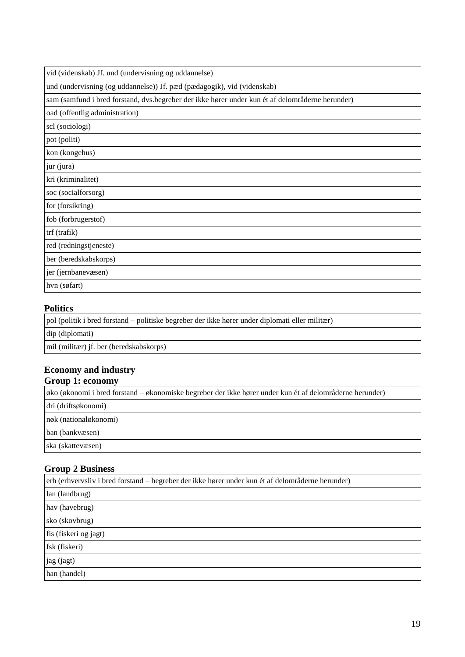| vid (videnskab) Jf. und (undervisning og uddannelse) |  |
|------------------------------------------------------|--|
|                                                      |  |

und (undervisning (og uddannelse)) Jf. pæd (pædagogik), vid (videnskab)

sam (samfund i bred forstand, dvs.begreber der ikke hører under kun ét af delområderne herunder)

oad (offentlig administration)

scl (sociologi)

pot (politi)

kon (kongehus)

jur (jura)

kri (kriminalitet)

soc (socialforsorg)

for (forsikring)

fob (forbrugerstof)

trf (trafik)

red (redningstjeneste)

ber (beredskabskorps)

jer (jernbanevæsen)

hvn (søfart)

#### **Politics**

pol (politik i bred forstand – politiske begreber der ikke hører under diplomati eller militær)

dip (diplomati)

mil (militær) jf. ber (beredskabskorps)

#### **Economy and industry Group 1: economy**

øko (økonomi i bred forstand – økonomiske begreber der ikke hører under kun ét af delområderne herunder) dri (driftsøkonomi) nøk (nationaløkonomi) ban (bankvæsen) ska (skattevæsen)

#### **Group 2 Business**

| erh (erhvervsliv i bred forstand – begreber der ikke hører under kun ét af delområderne herunder) |
|---------------------------------------------------------------------------------------------------|
| lan (landbrug)                                                                                    |
| hav (havebrug)                                                                                    |
| sko (skovbrug)                                                                                    |
| fis (fiskeri og jagt)                                                                             |
| fsk (fiskeri)                                                                                     |
| jag (jagt)                                                                                        |
| han (handel)                                                                                      |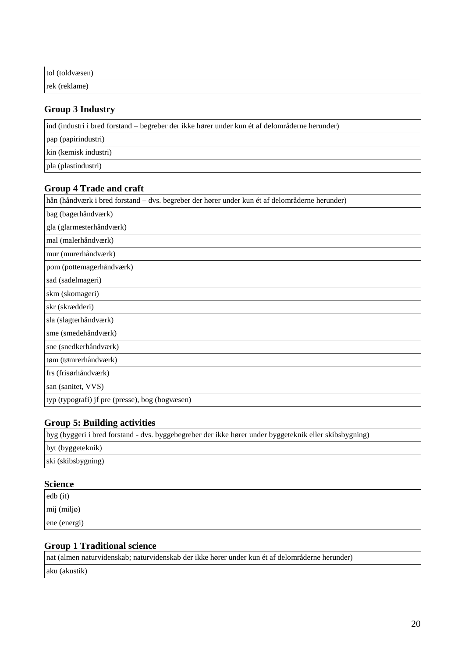| tol (toldvæsen) |  |
|-----------------|--|
| rek (reklame)   |  |

#### **Group 3 Industry**

ind (industri i bred forstand – begreber der ikke hører under kun ét af delområderne herunder) pap (papirindustri) kin (kemisk industri) pla (plastindustri)

#### **Group 4 Trade and craft**

hån (håndværk i bred forstand – dvs. begreber der hører under kun ét af delområderne herunder)

bag (bagerhåndværk)

gla (glarmesterhåndværk)

mal (malerhåndværk) mur (murerhåndværk)

pom (pottemagerhåndværk)

sad (sadelmageri)

skm (skomageri) skr (skrædderi)

sla (slagterhåndværk)

sme (smedehåndværk)

sne (snedkerhåndværk)

tøm (tømrerhåndværk)

frs (frisørhåndværk)

san (sanitet, VVS)

typ (typografi) jf pre (presse), bog (bogvæsen)

### **Group 5: Building activities**

| byg (byggeri i bred forstand - dvs. byggebegreber der ikke hører under byggeteknik eller skibsbygning) |  |
|--------------------------------------------------------------------------------------------------------|--|
| byt (byggeteknik)                                                                                      |  |
| ski (skibsbygning)                                                                                     |  |

#### **Science**

edb (it) mij (miljø) ene (energi)

#### **Group 1 Traditional science**

nat (almen naturvidenskab; naturvidenskab der ikke hører under kun ét af delområderne herunder) aku (akustik)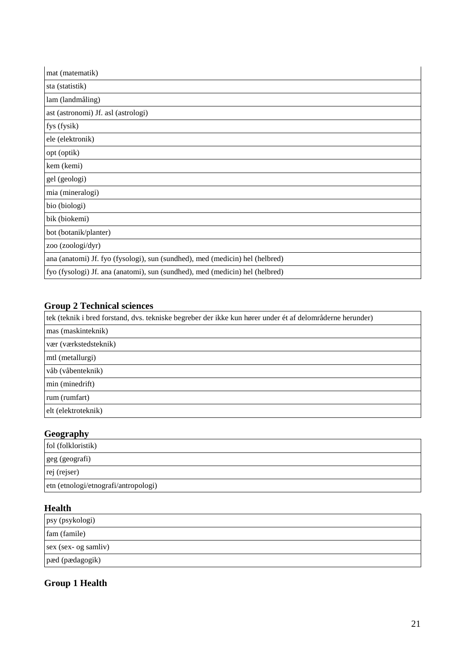| mat (matematik)                                                              |
|------------------------------------------------------------------------------|
| sta (statistik)                                                              |
| lam (landmåling)                                                             |
| ast (astronomi) Jf. asl (astrologi)                                          |
| fys (fysik)                                                                  |
| ele (elektronik)                                                             |
| opt (optik)                                                                  |
| kem (kemi)                                                                   |
| gel (geologi)                                                                |
| mia (mineralogi)                                                             |
| bio (biologi)                                                                |
| bik (biokemi)                                                                |
| bot (botanik/planter)                                                        |
| zoo (zoologi/dyr)                                                            |
| ana (anatomi) Jf. fyo (fysologi), sun (sundhed), med (medicin) hel (helbred) |
| fyo (fysologi) Jf. ana (anatomi), sun (sundhed), med (medicin) hel (helbred) |

# **Group 2 Technical sciences**

| tek (teknik i bred forstand, dvs. tekniske begreber der ikke kun hører under ét af delområderne herunder) |  |
|-----------------------------------------------------------------------------------------------------------|--|
| mas (maskinteknik)                                                                                        |  |
| vær (værkstedsteknik)                                                                                     |  |
| mtl (metallurgi)                                                                                          |  |
| våb (våbenteknik)                                                                                         |  |
| min (minedrift)                                                                                           |  |
| rum (rumfart)                                                                                             |  |
| elt (elektroteknik)                                                                                       |  |

# **Geography**

| fol (folkloristik)                   |  |
|--------------------------------------|--|
| geg (geografi)                       |  |
| rej (rejser)                         |  |
| etn (etnologi/etnografi/antropologi) |  |

## **Health**

| psy (psykologi)      |  |
|----------------------|--|
| fam (famile)         |  |
| sex (sex- og samliv) |  |
| pæd (pædagogik)      |  |

## **Group 1 Health**

 $\overline{a}$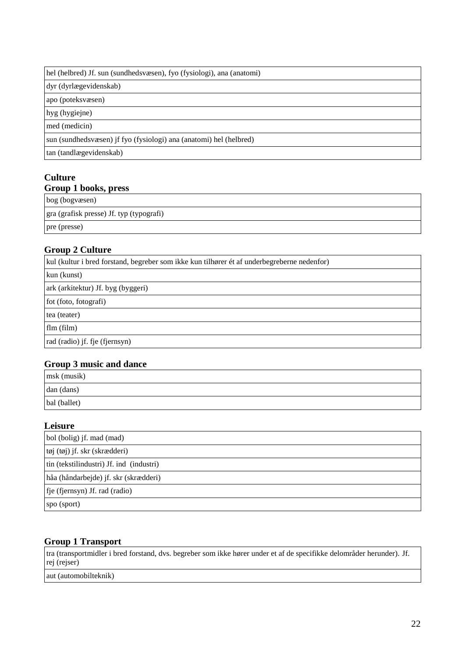#### hel (helbred) Jf. sun (sundhedsvæsen), fyo (fysiologi), ana (anatomi)

dyr (dyrlægevidenskab)

apo (poteksvæsen)

hyg (hygiejne)

med (medicin)

sun (sundhedsvæsen) jf fyo (fysiologi) ana (anatomi) hel (helbred)

tan (tandlægevidenskab)

### **Culture Group 1 books, press**

bog (bogvæsen)

gra (grafisk presse) Jf. typ (typografi)

pre (presse)

### **Group 2 Culture**

| kul (kultur i bred forstand, begreber som ikke kun tilhører ét af underbegreberne nedenfor) |  |
|---------------------------------------------------------------------------------------------|--|
| kun (kunst)                                                                                 |  |
| ark (arkitektur) Jf. byg (byggeri)                                                          |  |
| fot (foto, fotografi)                                                                       |  |
| tea (teater)                                                                                |  |
| flm(film)                                                                                   |  |
| rad (radio) jf. fje (fjernsyn)                                                              |  |

### **Group 3 music and dance**

| msk (musik)  |  |
|--------------|--|
| dan (dans)   |  |
| bal (ballet) |  |

#### **Leisure**

| bol (bolig) if. mad (mad)                |  |
|------------------------------------------|--|
| tøj (tøj) jf. skr (skrædderi)            |  |
| tin (tekstilindustri) Jf. ind (industri) |  |
| håa (håndarbejde) jf. skr (skrædderi)    |  |
| fje (fjernsyn) Jf. rad (radio)           |  |
| spo (sport)                              |  |

#### **Group 1 Transport**

tra (transportmidler i bred forstand, dvs. begreber som ikke hører under et af de specifikke delområder herunder). Jf. rej (rejser)

aut (automobilteknik)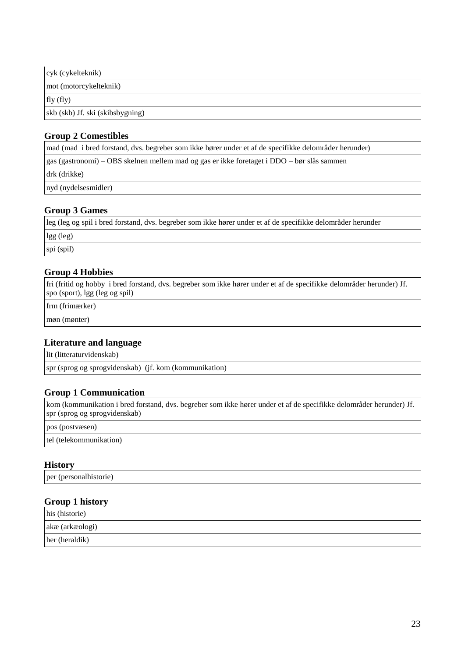| cyk (cykelteknik)                |  |
|----------------------------------|--|
| mot (motorcykelteknik)           |  |
| fly (fly)                        |  |
| skb (skb) Jf. ski (skibsbygning) |  |

#### **Group 2 Comestibles**

mad (mad i bred forstand, dvs. begreber som ikke hører under et af de specifikke delområder herunder) gas (gastronomi) – OBS skelnen mellem mad og gas er ikke foretaget i DDO – bør slås sammen drk (drikke) nyd (nydelsesmidler)

#### **Group 3 Games**

leg (leg og spil i bred forstand, dvs. begreber som ikke hører under et af de specifikke delområder herunder lgg (leg) spi (spil)

#### **Group 4 Hobbies**

fri (fritid og hobby i bred forstand, dvs. begreber som ikke hører under et af de specifikke delområder herunder) Jf. spo (sport), lgg (leg og spil)

frm (frimærker)

møn (mønter)

#### **Literature and language**

lit (litteraturvidenskab)

spr (sprog og sprogvidenskab) (jf. kom (kommunikation)

#### **Group 1 Communication**

kom (kommunikation i bred forstand, dvs. begreber som ikke hører under et af de specifikke delområder herunder) Jf. spr (sprog og sprogvidenskab)

pos (postvæsen)

tel (telekommunikation)

#### **History**

per (personalhistorie)

#### **Group 1 history**

| his (historie)  |  |
|-----------------|--|
| akæ (arkæologi) |  |
| her (heraldik)  |  |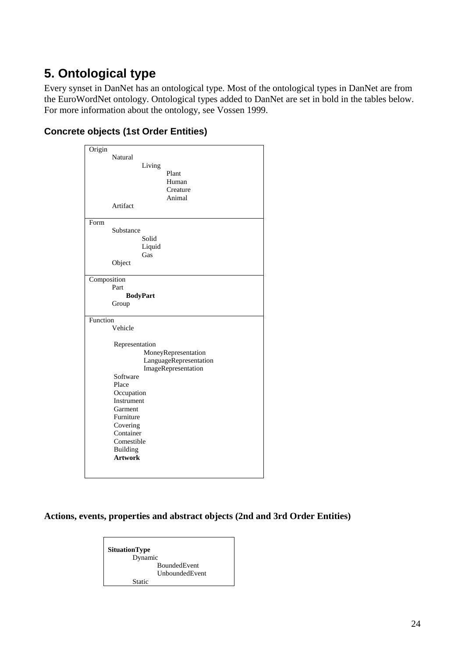# <span id="page-23-0"></span>**5. Ontological type**

Every synset in DanNet has an ontological type. Most of the ontological types in DanNet are from the EuroWordNet ontology. Ontological types added to DanNet are set in bold in the tables below. For more information about the ontology, see Vossen 1999.

#### Origin Natural Living Plant Human Creature Animal Artifact Form Substance Solid Liquid Gas Object **Composition**  Part **BodyPart** Group Function Vehicle Representation MoneyRepresentation LanguageRepresentation ImageRepresentation Software Place **Occupation**  Instrument Garment Furniture Covering Container Comestible Building  **Artwork**

### **Concrete objects (1st Order Entities)**

<span id="page-23-1"></span>**Actions, events, properties and abstract objects (2nd and 3rd Order Entities)**

**SituationType** Dynamic BoundedEvent UnboundedEvent Static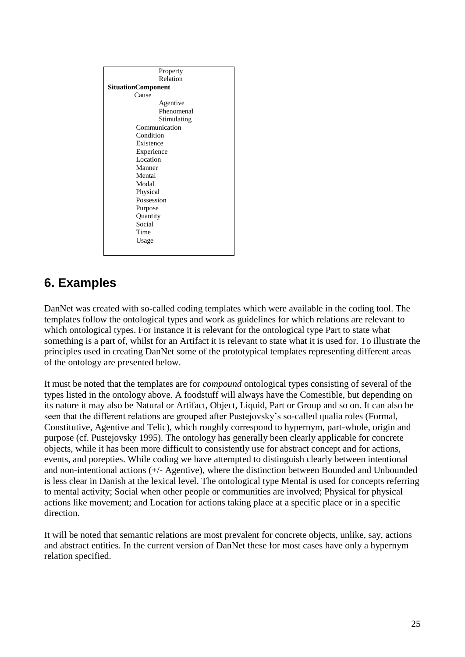| Property                  |
|---------------------------|
| Relation                  |
| <b>SituationComponent</b> |
| Cause                     |
| Agentive                  |
| Phenomenal                |
| Stimulating               |
| Communication             |
| Condition                 |
| Existence                 |
| Experience                |
| Location                  |
| Manner                    |
| Mental                    |
| Modal                     |
| Physical                  |
| Possession                |
| Purpose                   |
| Quantity                  |
| Social                    |
| Time                      |
| Usage                     |
|                           |
|                           |

# <span id="page-24-0"></span>**6. Examples**

DanNet was created with so-called coding templates which were available in the coding tool. The templates follow the ontological types and work as guidelines for which relations are relevant to which ontological types. For instance it is relevant for the ontological type Part to state what something is a part of, whilst for an Artifact it is relevant to state what it is used for. To illustrate the principles used in creating DanNet some of the prototypical templates representing different areas of the ontology are presented below.

It must be noted that the templates are for *compound* ontological types consisting of several of the types listed in the ontology above. A foodstuff will always have the Comestible, but depending on its nature it may also be Natural or Artifact, Object, Liquid, Part or Group and so on. It can also be seen that the different relations are grouped after Pustejovsky's so-called qualia roles (Formal, Constitutive, Agentive and Telic), which roughly correspond to hypernym, part-whole, origin and purpose (cf. Pustejovsky 1995). The ontology has generally been clearly applicable for concrete objects, while it has been more difficult to consistently use for abstract concept and for actions, events, and porepties. While coding we have attempted to distinguish clearly between intentional and non-intentional actions (+/- Agentive), where the distinction between Bounded and Unbounded is less clear in Danish at the lexical level. The ontological type Mental is used for concepts referring to mental activity; Social when other people or communities are involved; Physical for physical actions like movement; and Location for actions taking place at a specific place or in a specific direction.

It will be noted that semantic relations are most prevalent for concrete objects, unlike, say, actions and abstract entities. In the current version of DanNet these for most cases have only a hypernym relation specified.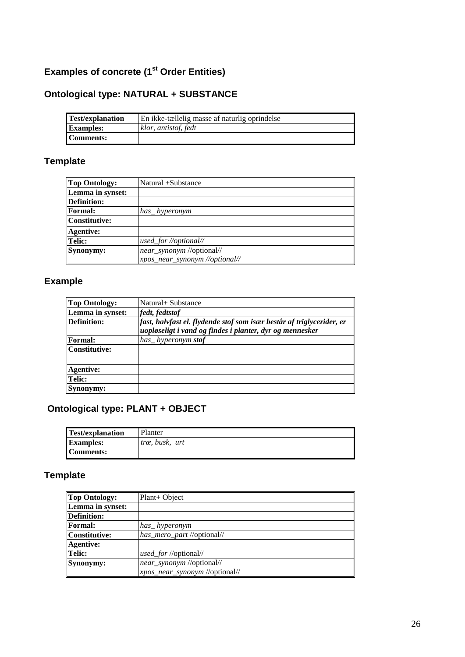## <span id="page-25-0"></span>**Examples of concrete (1 st Order Entities)**

# <span id="page-25-1"></span>**Ontological type: NATURAL + SUBSTANCE**

| <b>Test/explanation</b> | En ikke-tællelig masse af naturlig oprindelse |
|-------------------------|-----------------------------------------------|
| <b>Examples:</b>        | klor, antistof, fedt                          |
| <b>Comments:</b>        |                                               |

## **Template**

| <b>Top Ontology:</b> | Natural +Substance             |
|----------------------|--------------------------------|
| Lemma in synset:     |                                |
| <b>Definition:</b>   |                                |
| <b>Formal:</b>       | has _hyperonym                 |
| <b>Constitutive:</b> |                                |
| <b>Agentive:</b>     |                                |
| Telic:               | used_for //optional//          |
| Synonymy:            | near_synonym //optional//      |
|                      | xpos_near_synonym //optional// |

# **Example**

| <b>Top Ontology:</b> | Natural + Substance                                                                                                               |
|----------------------|-----------------------------------------------------------------------------------------------------------------------------------|
| Lemma in synset:     | fedt, fedtstof                                                                                                                    |
| Definition:          | fast, halvfast el. flydende stof som især består af triglycerider, er<br>uopløseligt i vand og findes i planter, dyr og mennesker |
| <b>Formal:</b>       | has_hyperonym stof                                                                                                                |
| Constitutive:        |                                                                                                                                   |
| <b>Agentive:</b>     |                                                                                                                                   |
| Telic:               |                                                                                                                                   |
| Synonymy:            |                                                                                                                                   |

# <span id="page-25-2"></span>**Ontological type: PLANT + OBJECT**

| <b>Test/explanation</b> | Planter        |
|-------------------------|----------------|
| <b>Examples:</b>        | træ, busk, urt |
| Comments:               |                |

## **Template**

| <b>Top Ontology:</b> | $Plant+Object$                 |
|----------------------|--------------------------------|
| Lemma in synset:     |                                |
| <b>Definition:</b>   |                                |
| <b>Formal:</b>       | has_hyperonym                  |
| <b>Constitutive:</b> | has_mero_part //optional//     |
| <b>Agentive:</b>     |                                |
| Telic:               | used_for //optional//          |
| Synonymy:            | near_synonym //optional//      |
|                      | xpos_near_synonym //optional// |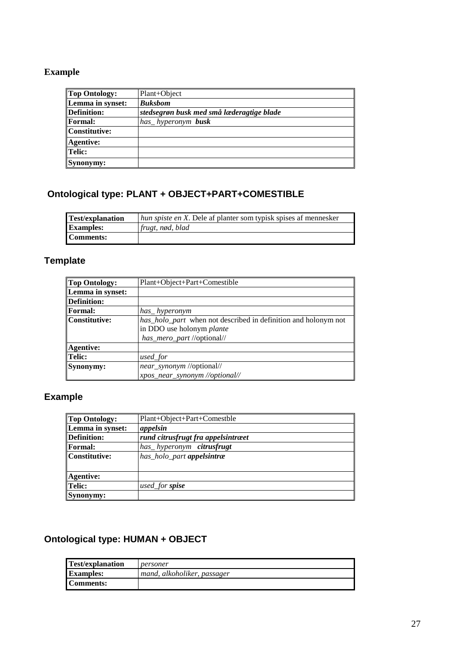### **Example**

| <b>Top Ontology:</b> | Plant+Object                              |
|----------------------|-------------------------------------------|
| Lemma in synset:     | <b>Buksbom</b>                            |
| Definition:          | stedsegrøn busk med små læderagtige blade |
| <b>Formal:</b>       | has hyperonym busk                        |
| <b>Constitutive:</b> |                                           |
| <b>Agentive:</b>     |                                           |
| Telic:               |                                           |
| Synonymy:            |                                           |

# <span id="page-26-0"></span>**Ontological type: PLANT + OBJECT+PART+COMESTIBLE**

| Test/explanation | <i>hun spiste en X</i> . Dele af planter som typisk spises af mennesker |
|------------------|-------------------------------------------------------------------------|
| <b>Examples:</b> | $frugt$ , nød, blad                                                     |
| <b>Comments:</b> |                                                                         |

### **Template**

| <b>Top Ontology:</b> | Plant+Object+Part+Comestible                                                                                              |
|----------------------|---------------------------------------------------------------------------------------------------------------------------|
| Lemma in synset:     |                                                                                                                           |
| <b>Definition:</b>   |                                                                                                                           |
| <b>Formal:</b>       | has hyperonym                                                                                                             |
| <b>Constitutive:</b> | has_holo_part when not described in definition and holonym not<br>in DDO use holonym plante<br>has_mero_part //optional// |
| <b>Agentive:</b>     |                                                                                                                           |
| Telic:               | used_for                                                                                                                  |
| <b>Synonymy:</b>     | near_synonym //optional//<br>xpos_near_synonym //optional//                                                               |

# **Example**

| <b>Top Ontology:</b> | Plant+Object+Part+Comestble        |
|----------------------|------------------------------------|
| Lemma in synset:     | appelsin                           |
| <b>Definition:</b>   | rund citrusfrugt fra appelsintræet |
| Formal:              | has_hyperonym citrusfrugt          |
| <b>Constitutive:</b> | has_holo_part appelsintræ          |
|                      |                                    |
| <b>Agentive:</b>     |                                    |
| Telic:               | used_for <b>spise</b>              |
| Synonymy:            |                                    |

# <span id="page-26-1"></span>**Ontological type: HUMAN + OBJECT**

| <b>Test/explanation</b> | personer                    |
|-------------------------|-----------------------------|
| <b>Examples:</b>        | mand, alkoholiker, passager |
| Comments:               |                             |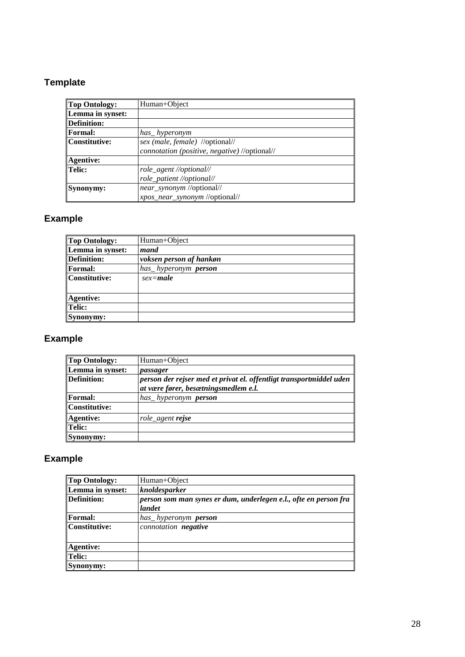# **Template**

| <b>Top Ontology:</b> | Human+Object                                  |
|----------------------|-----------------------------------------------|
| Lemma in synset:     |                                               |
| <b>Definition:</b>   |                                               |
| <b>Formal:</b>       | has hyperonym                                 |
| <b>Constitutive:</b> | sex (male, female) //optional//               |
|                      | connotation (positive, negative) //optional// |
| <b>Agentive:</b>     |                                               |
| Telic:               | role_agent //optional//                       |
|                      | role_patient //optional//                     |
| Synonymy:            | near_synonym //optional//                     |
|                      | xpos_near_synonym //optional//                |

## **Example**

| Top Ontology:      | Human+Object                |
|--------------------|-----------------------------|
| Lemma in synset:   | mand                        |
| <b>Definition:</b> | voksen person af hankøn     |
| Formal:            | has hyperonym <b>person</b> |
| Constitutive:      | $sex$ =male                 |
| <b>Agentive:</b>   |                             |
| Telic:             |                             |
| Synonymy:          |                             |

# **Example**

| Top Ontology:    | Human+Object                                                                                                |
|------------------|-------------------------------------------------------------------------------------------------------------|
| Lemma in synset: | passager                                                                                                    |
| Definition:      | person der rejser med et privat el. offentligt transportmiddel uden<br>at være fører, besætningsmedlem e.l. |
| Formal:          | has_hyperonym person                                                                                        |
| Constitutive:    |                                                                                                             |
| <b>Agentive:</b> | role agent <b>rejse</b>                                                                                     |
| Telic:           |                                                                                                             |
| Synonymy:        |                                                                                                             |

# **Example**

| <b>Top Ontology:</b> | Human+Object                                                               |
|----------------------|----------------------------------------------------------------------------|
| Lemma in synset:     | knoldesparker                                                              |
| <b>Definition:</b>   | person som man synes er dum, underlegen e.l., ofte en person fra<br>landet |
| <b>Formal:</b>       | has hyperonym <b>person</b>                                                |
| <b>Constitutive:</b> | connotation negative                                                       |
|                      |                                                                            |
| <b>Agentive:</b>     |                                                                            |
| Telic:               |                                                                            |
| Synonymy:            |                                                                            |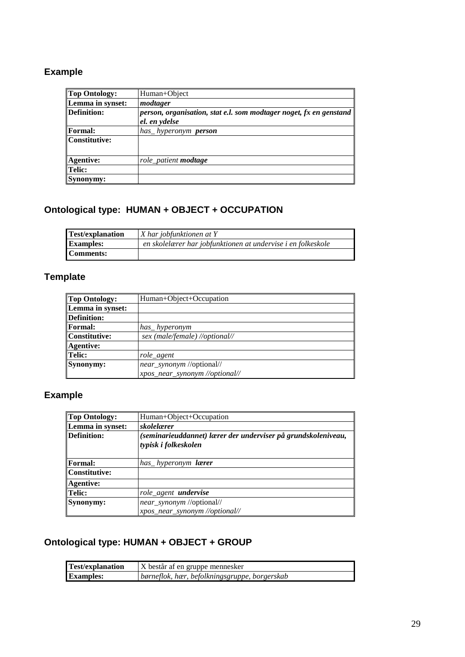## **Example**

| Top Ontology:    | Human+Object                                                              |
|------------------|---------------------------------------------------------------------------|
| Lemma in synset: | modtager                                                                  |
| Definition:      | <i>person, organisation, stat e.l. som modtager noget, fx en genstand</i> |
|                  | el. en ydelse                                                             |
| Formal:          | has_hyperonym person                                                      |
| Constitutive:    |                                                                           |
|                  |                                                                           |
| <b>Agentive:</b> | role_patient <b>modtage</b>                                               |
| Telic:           |                                                                           |
| Synonymy:        |                                                                           |

## <span id="page-28-0"></span>**Ontological type: HUMAN + OBJECT + OCCUPATION**

| <b>Test/explanation</b> | X har jobfunktionen at Y                                     |
|-------------------------|--------------------------------------------------------------|
| <b>Examples:</b>        | en skolelærer har jobfunktionen at undervise i en folkeskole |
| Comments:               |                                                              |

## **Template**

| <b>Top Ontology:</b> | Human+Object+Occupation        |
|----------------------|--------------------------------|
| Lemma in synset:     |                                |
| Definition:          |                                |
| <b>Formal:</b>       | has hyperonym                  |
| Constitutive:        | sex (male/female) //optional// |
| <b>Agentive:</b>     |                                |
| Telic:               | role agent                     |
| <b>Synonymy:</b>     | near_synonym //optional//      |
|                      | xpos_near_synonym //optional// |

# **Example**

| Top Ontology:    | Human+Object+Occupation                                                               |
|------------------|---------------------------------------------------------------------------------------|
| Lemma in synset: | skolelærer                                                                            |
| Definition:      | (seminarieuddannet) lærer der underviser på grundskoleniveau,<br>typisk i folkeskolen |
| Formal:          | has hyperonym <b>lærer</b>                                                            |
| Constitutive:    |                                                                                       |
| Agentive:        |                                                                                       |
| Telic:           | role_agent <b>undervise</b>                                                           |
| Synonymy:        | near_synonym //optional//<br>xpos_near_synonym //optional//                           |

## <span id="page-28-1"></span>**Ontological type: HUMAN + OBJECT + GROUP**

| <b>Test/explanation</b> | X består af en gruppe mennesker               |
|-------------------------|-----------------------------------------------|
| <b>Examples:</b>        | børneflok, hær, befolkningsgruppe, borgerskab |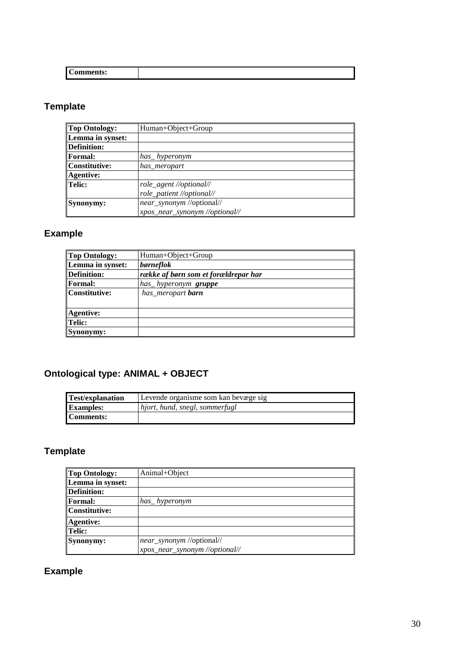| $\sim$<br><b>Comments:</b> |  |
|----------------------------|--|

# **Template**

| Top Ontology:    | Human+Object+Group             |
|------------------|--------------------------------|
| Lemma in synset: |                                |
| Definition:      |                                |
| <b>Formal:</b>   | has_hyperonym                  |
| Constitutive:    | has meropart                   |
| Agentive:        |                                |
| Telic:           | role_agent //optional//        |
|                  | role_patient //optional//      |
| Synonymy:        | near_synonym //optional//      |
|                  | xpos_near_synonym //optional// |

## **Example**

| <b>Top Ontology:</b> | Human+Object+Group                   |
|----------------------|--------------------------------------|
| Lemma in synset:     | børneflok                            |
| <b>Definition:</b>   | række af børn som et forældrepar har |
| <b>Formal:</b>       | has_hyperonym <b>gruppe</b>          |
| <b>Constitutive:</b> | has_meropart <b>barn</b>             |
| <b>Agentive:</b>     |                                      |
| <b>Telic:</b>        |                                      |
| Synonymy:            |                                      |

# <span id="page-29-0"></span>**Ontological type: ANIMAL + OBJECT**

| Test/explanation | Levende organisme som kan bevæge sig |
|------------------|--------------------------------------|
| <b>Examples:</b> | hjort, hund, snegl, sommerfugl       |
| Comments:        |                                      |

# **Template**

| <b>Top Ontology:</b> | Animal+Object                  |
|----------------------|--------------------------------|
| Lemma in synset:     |                                |
| <b>Definition:</b>   |                                |
| <b>Formal:</b>       | has hyperonym                  |
| <b>Constitutive:</b> |                                |
| <b>Agentive:</b>     |                                |
| Telic:               |                                |
| Synonymy:            | near_synonym //optional//      |
|                      | xpos_near_synonym //optional// |

# **Example**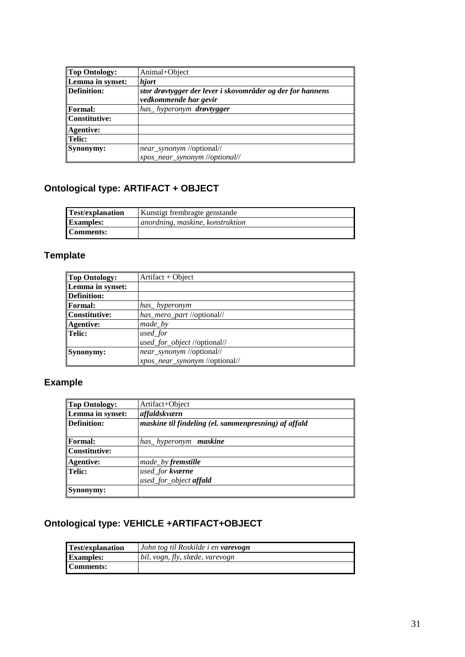| Top Ontology:    | Animal+Object                                              |
|------------------|------------------------------------------------------------|
| Lemma in synset: | hjort                                                      |
| Definition:      | stor drøvtygger der lever i skovområder og der for hannens |
|                  | vedkommende har gevir                                      |
| Formal:          | has_hyperonym drøvtygger                                   |
| Constitutive:    |                                                            |
| Agentive:        |                                                            |
| Telic:           |                                                            |
| Synonymy:        | near_synonym //optional//                                  |
|                  | xpos_near_synonym //optional//                             |

# <span id="page-30-0"></span>**Ontological type: ARTIFACT + OBJECT**

| Test/explanation | Kunstigt frembragte genstande    |
|------------------|----------------------------------|
| <b>Examples:</b> | anordning, maskine, konstruktion |
| Comments:        |                                  |

# **Template**

| <b>Top Ontology:</b> | Artifact + Object              |
|----------------------|--------------------------------|
| Lemma in synset:     |                                |
| <b>Definition:</b>   |                                |
| <b>Formal:</b>       | has_hyperonym                  |
| <b>Constitutive:</b> | has_mero_part //optional//     |
| <b>Agentive:</b>     | $made_b$                       |
| Telic:               | used_for                       |
|                      | used_for_object //optional//   |
| Synonymy:            | near_synonym //optional//      |
|                      | xpos_near_synonym //optional// |

# **Example**

| <b>Top Ontology:</b> | Artifact+Object                                      |
|----------------------|------------------------------------------------------|
| Lemma in synset:     | affaldskværn                                         |
| Definition:          | maskine til findeling (el. sammenpresning) af affald |
| <b>Formal:</b>       | has hyperonym <b>maskine</b>                         |
| Constitutive:        |                                                      |
| <b>Agentive:</b>     | made_by fremstille                                   |
| <b>Telic:</b>        | used_for kværne                                      |
|                      | used_for_object affald                               |
| Synonymy:            |                                                      |

## <span id="page-30-1"></span>**Ontological type: VEHICLE +ARTIFACT+OBJECT**

| <b>Test/explanation</b> | John tog til Roskilde i en varevogn |
|-------------------------|-------------------------------------|
| <b>Examples:</b>        | bil, vogn, fly, slæde, varevogn     |
| Comments:               |                                     |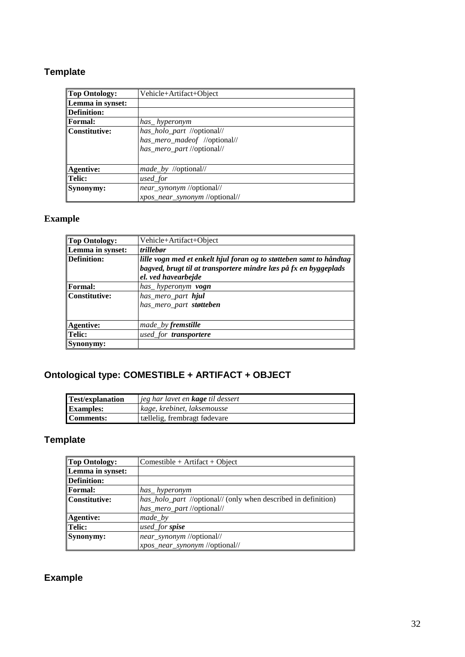## **Template**

| <b>Top Ontology:</b> | Vehicle+Artifact+Object        |
|----------------------|--------------------------------|
| Lemma in synset:     |                                |
| <b>Definition:</b>   |                                |
| <b>Formal:</b>       | has_hyperonym                  |
| Constitutive:        | has_holo_part //optional//     |
|                      | has_mero_madeof //optional//   |
|                      | has_mero_part //optional//     |
|                      |                                |
| <b>Agentive:</b>     | <i>made_by //optional//</i>    |
| Telic:               | used_for                       |
| Synonymy:            | near_synonym //optional//      |
|                      | xpos_near_synonym //optional// |

### **Example**

| <b>Top Ontology:</b> | Vehicle+Artifact+Object                                             |
|----------------------|---------------------------------------------------------------------|
| Lemma in synset:     | trillebør                                                           |
| <b>Definition:</b>   | lille vogn med et enkelt hjul foran og to støtteben samt to håndtag |
|                      | bagved, brugt til at transportere mindre læs på fx en byggeplads    |
|                      | el. ved havearbejde                                                 |
| Formal:              | has_hyperonym vogn                                                  |
| <b>Constitutive:</b> | has_mero_part hjul                                                  |
|                      | has_mero_part støtteben                                             |
|                      |                                                                     |
| <b>Agentive:</b>     | made_by <b>fremstille</b>                                           |
| <b>Telic:</b>        | used for <b>transportere</b>                                        |
| <b>Synonymy:</b>     |                                                                     |

# <span id="page-31-0"></span>**Ontological type: COMESTIBLE + ARTIFACT + OBJECT**

| <b>Test/explanation</b> | jeg har lavet en <b>kage</b> til dessert |
|-------------------------|------------------------------------------|
| <b>Examples:</b>        | kage, krebinet, laksemousse              |
| Comments:               | tællelig, frembragt fødevare             |

## **Template**

| <b>Top Ontology:</b> | $Comestible + Artifact + Object$                               |
|----------------------|----------------------------------------------------------------|
| Lemma in synset:     |                                                                |
| <b>Definition:</b>   |                                                                |
| <b>Formal:</b>       | has_hyperonym                                                  |
| <b>Constitutive:</b> | has_holo_part //optional// (only when described in definition) |
|                      | has_mero_part //optional//                                     |
| <b>Agentive:</b>     | $made_b$                                                       |
| <b>Telic:</b>        | used_for spise                                                 |
| Synonymy:            | near_synonym //optional//                                      |
|                      | xpos_near_synonym //optional//                                 |

## **Example**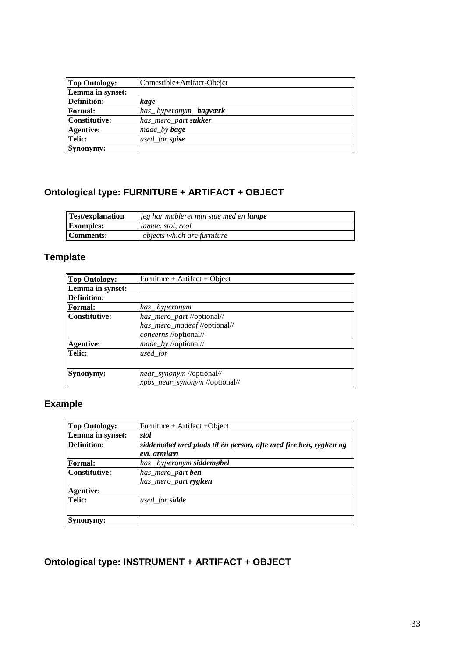| <b>Top Ontology:</b> | Comestible+Artifact-Obejct   |
|----------------------|------------------------------|
| Lemma in synset:     |                              |
| Definition:          | kage                         |
| <b>Formal:</b>       | has_hyperonym <b>bagværk</b> |
| Constitutive:        | has_mero_part sukker         |
| <b>Agentive:</b>     | made_by <b>bage</b>          |
| Telic:               | used_for spise               |
| Synonymy:            |                              |

## <span id="page-32-0"></span>**Ontological type: FURNITURE + ARTIFACT + OBJECT**

| <b>Test/explanation</b> | jeg har møbleret min stue med en <b>lampe</b> |
|-------------------------|-----------------------------------------------|
| <b>Examples:</b>        | lampe, stol, reol                             |
| Comments:               | <i>objects which are furniture</i>            |

# **Template**

| <b>Top Ontology:</b> | Furniture + Artifact + Object  |
|----------------------|--------------------------------|
| Lemma in synset:     |                                |
| <b>Definition:</b>   |                                |
| <b>Formal:</b>       | has hyperonym                  |
| <b>Constitutive:</b> | has_mero_part //optional//     |
|                      | has_mero_madeof //optional//   |
|                      | concerns //optional//          |
| <b>Agentive:</b>     | made_by //optional//           |
| Telic:               | used_for                       |
|                      |                                |
| Synonymy:            | near_synonym //optional//      |
|                      | xpos_near_synonym //optional// |

## **Example**

| Top Ontology:    | Furniture + Artifact + Object                                    |
|------------------|------------------------------------------------------------------|
| Lemma in synset: | stol                                                             |
| Definition:      | siddemøbel med plads til én person, ofte med fire ben, ryglæn og |
|                  | evt. armlæn                                                      |
| Formal:          | has_hyperonym siddemøbel                                         |
| Constitutive:    | has_mero_part ben                                                |
|                  | has_mero_part ryglæn                                             |
| <b>Agentive:</b> |                                                                  |
| Telic:           | used_for <b>sidde</b>                                            |
|                  |                                                                  |
| Synonymy:        |                                                                  |

# <span id="page-32-1"></span>**Ontological type: INSTRUMENT + ARTIFACT + OBJECT**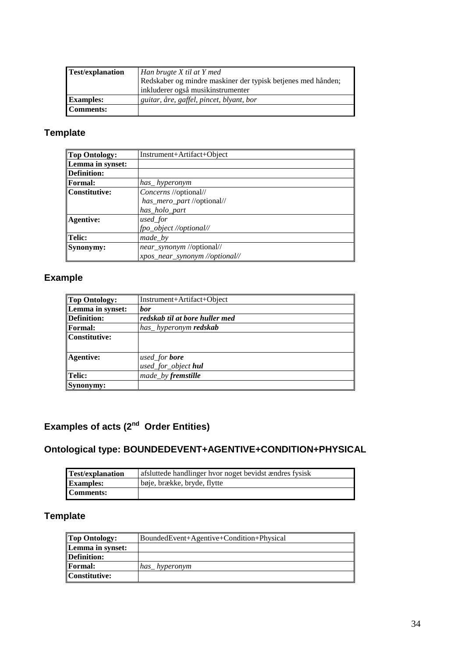| <b>Test/explanation</b> | Han brugte X til at Y med                                    |
|-------------------------|--------------------------------------------------------------|
|                         | Redskaber og mindre maskiner der typisk betjenes med hånden; |
|                         | inkluderer også musikinstrumenter                            |
| <b>Examples:</b>        | guitar, åre, gaffel, pincet, blyant, bor                     |
| <b>Comments:</b>        |                                                              |

## **Template**

| <b>Top Ontology:</b> | Instrument+Artifact+Object     |
|----------------------|--------------------------------|
| Lemma in synset:     |                                |
| <b>Definition:</b>   |                                |
| <b>Formal:</b>       | has_hyperonym                  |
| <b>Constitutive:</b> | <i>Concerns</i> //optional//   |
|                      | has_mero_part //optional//     |
|                      | has_holo_part                  |
| <b>Agentive:</b>     | used_for                       |
|                      | fpo_object //optional//        |
| <b>Telic:</b>        | $made_b$                       |
| Synonymy:            | near_synonym //optional//      |
|                      | xpos_near_synonym //optional// |

## **Example**

| <b>Top Ontology:</b> | Instrument+Artifact+Object                  |
|----------------------|---------------------------------------------|
| Lemma in synset:     | bor                                         |
| <b>Definition:</b>   | redskab til at bore huller med              |
| <b>Formal:</b>       | has_hyperonym <b>redskab</b>                |
| Constitutive:        |                                             |
| <b>Agentive:</b>     | used_for <b>bore</b><br>used_for_object hul |
| <b>Telic:</b>        | made_by fremstille                          |
| Synonymy:            |                                             |

## <span id="page-33-0"></span>**Examples of acts (2 nd Order Entities)**

## <span id="page-33-1"></span>**Ontological type: BOUNDEDEVENT+AGENTIVE+CONDITION+PHYSICAL**

| <b>Test/explanation</b> | afsluttede handlinger hvor noget bevidst ændres fysisk |
|-------------------------|--------------------------------------------------------|
| <b>Examples:</b>        | bøje, brække, bryde, flytte                            |
| Comments:               |                                                        |

## **Template**

| <b>Top Ontology:</b> | BoundedEvent+Agentive+Condition+Physical |
|----------------------|------------------------------------------|
| Lemma in synset:     |                                          |
| Definition:          |                                          |
| <b>Formal:</b>       | has hyperonym                            |
| Constitutive:        |                                          |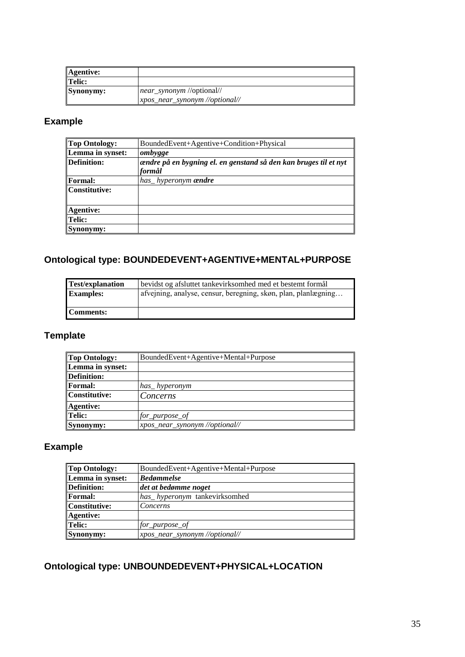| Agentive: |                                |
|-----------|--------------------------------|
| Telic:    |                                |
| Synonymy: | near_synonym //optional//      |
|           | xpos_near_synonym //optional// |

## **Example**

| <b>Top Ontology:</b> | BoundedEvent+Agentive+Condition+Physical                         |
|----------------------|------------------------------------------------------------------|
| Lemma in synset:     | ombygge                                                          |
| Definition:          | ændre på en bygning el. en genstand så den kan bruges til et nyt |
|                      | formål                                                           |
| Formal:              | has_hyperonym <b>ændre</b>                                       |
| Constitutive:        |                                                                  |
|                      |                                                                  |
| Agentive:            |                                                                  |
| Telic:               |                                                                  |
| Synonymy:            |                                                                  |

### <span id="page-34-0"></span>**Ontological type: BOUNDEDEVENT+AGENTIVE+MENTAL+PURPOSE**

| <b>Test/explanation</b> | bevidst og afsluttet tankevirksomhed med et bestemt formål     |
|-------------------------|----------------------------------------------------------------|
| <b>Examples:</b>        | afvejning, analyse, censur, beregning, skøn, plan, planlægning |
| Comments:               |                                                                |

## **Template**

| <b>Top Ontology:</b> | BoundedEvent+Agentive+Mental+Purpose |
|----------------------|--------------------------------------|
| Lemma in synset:     |                                      |
| Definition:          |                                      |
| <b>Formal:</b>       | has_hyperonym                        |
| Constitutive:        | Concerns                             |
| Agentive:            |                                      |
| Telic:               | for purpose of                       |
| Synonymy:            | xpos_near_synonym //optional//       |

### **Example**

| Top Ontology:      | BoundedEvent+Agentive+Mental+Purpose |
|--------------------|--------------------------------------|
| Lemma in synset:   | <b>Bedømmelse</b>                    |
| <b>Definition:</b> | det at bedømme noget                 |
| <b>Formal:</b>     | has_hyperonym_tankevirksomhed        |
| Constitutive:      | Concerns                             |
| Agentive:          |                                      |
| Telic:             | for_purpose_of                       |
| Synonymy:          | xpos_near_synonym //optional//       |

## **Ontological type: UNBOUNDEDEVENT+PHYSICAL+LOCATION**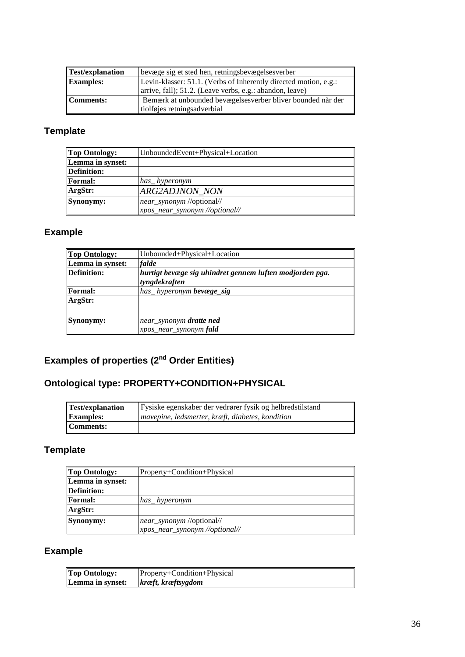| <b>Test/explanation</b> | bevæge sig et sted hen, retningsbevægelsesverber                 |
|-------------------------|------------------------------------------------------------------|
| <b>Examples:</b>        | Levin-klasser: 51.1. (Verbs of Inherently directed motion, e.g.: |
|                         | arrive, fall); 51.2. (Leave verbs, e.g.: abandon, leave)         |
| Comments:               | Bemærk at unbounded bevægelsesverber bliver bounded når der      |
|                         | tiolføjes retningsadverbial                                      |

## **Template**

| <b>Top Ontology:</b> | UnboundedEvent+Physical+Location |
|----------------------|----------------------------------|
| Lemma in synset:     |                                  |
| Definition:          |                                  |
| <b>Formal:</b>       | has hyperonym                    |
| ArgStr:              | <b>ARG2ADJNON NON</b>            |
| Synonymy:            | near_synonym //optional//        |
|                      | xpos_near_synonym //optional//   |

## **Example**

| <b>Top Ontology:</b> | Unbounded+Physical+Location                                               |
|----------------------|---------------------------------------------------------------------------|
| Lemma in synset:     | falde                                                                     |
| Definition:          | hurtigt bevæge sig uhindret gennem luften modjorden pga.<br>tyngdekraften |
| <b>Formal:</b>       | has_hyperonym bevæge_sig                                                  |
| ArgStr:              |                                                                           |
| Synonymy:            | near_synonym dratte ned<br>xpos_near_synonym fald                         |

### <span id="page-35-0"></span>**Examples of properties (2<sup>nd</sup> Order Entities)**

# <span id="page-35-1"></span>**Ontological type: PROPERTY+CONDITION+PHYSICAL**

| <b>Test/explanation</b> | Fysiske egenskaber der vedrører fysik og helbredstilstand |
|-------------------------|-----------------------------------------------------------|
| <b>Examples:</b>        | mavepine, ledsmerter, kræft, diabetes, kondition          |
| <b>Comments:</b>        |                                                           |

# **Template**

| Top Ontology:      | Property+Condition+Physical    |
|--------------------|--------------------------------|
| Lemma in synset:   |                                |
| <b>Definition:</b> |                                |
| <b>Formal:</b>     | has hyperonym                  |
| ArgStr:            |                                |
| Synonymy:          | near_synonym //optional//      |
|                    | xpos_near_synonym //optional// |

## **Example**

| <b>Top Ontology:</b> | Property+Condition+Physical |
|----------------------|-----------------------------|
| Lemma in synset:     | $\kappa$ kræftsygdom        |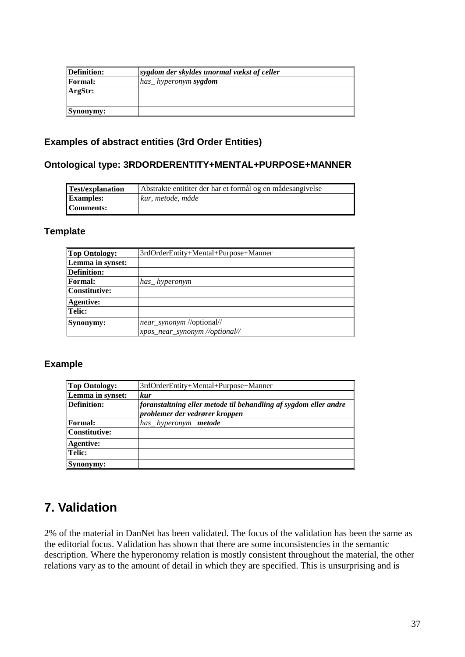| Definition:    | sygdom der skyldes unormal vækst af celler |
|----------------|--------------------------------------------|
| <b>Formal:</b> | has_hyperonym <b>sygdom</b>                |
| ArgStr:        |                                            |
|                |                                            |
| Synonymy:      |                                            |

### <span id="page-36-0"></span>**Examples of abstract entities (3rd Order Entities)**

### <span id="page-36-1"></span>**Ontological type: 3RDORDERENTITY+MENTAL+PURPOSE+MANNER**

| <b>Test/explanation</b> | Abstrakte entititer der har et formål og en mådesangivelse |
|-------------------------|------------------------------------------------------------|
| <b>Examples:</b>        | kur, metode, måde                                          |
| Comments:               |                                                            |

### **Template**

| Top Ontology:    | 3rdOrderEntity+Mental+Purpose+Manner |
|------------------|--------------------------------------|
| Lemma in synset: |                                      |
| Definition:      |                                      |
| <b>Formal:</b>   | has hyperonym                        |
| Constitutive:    |                                      |
| Agentive:        |                                      |
| Telic:           |                                      |
| Synonymy:        | near_synonym //optional//            |
|                  | xpos_near_synonym //optional//       |

#### **Example**

| <b>Top Ontology:</b> | 3rdOrderEntity+Mental+Purpose+Manner                             |
|----------------------|------------------------------------------------------------------|
| Lemma in synset:     | <b>kur</b>                                                       |
| <b>Definition:</b>   | foranstaltning eller metode til behandling af sygdom eller andre |
|                      | problemer der vedrører kroppen                                   |
| <b>Formal:</b>       | has hyperonym <b>metode</b>                                      |
| <b>Constitutive:</b> |                                                                  |
| <b>Agentive:</b>     |                                                                  |
| Telic:               |                                                                  |
| Synonymy:            |                                                                  |

# <span id="page-36-2"></span>**7. Validation**

2% of the material in DanNet has been validated. The focus of the validation has been the same as the editorial focus. Validation has shown that there are some inconsistencies in the semantic description. Where the hyperonomy relation is mostly consistent throughout the material, the other relations vary as to the amount of detail in which they are specified. This is unsurprising and is